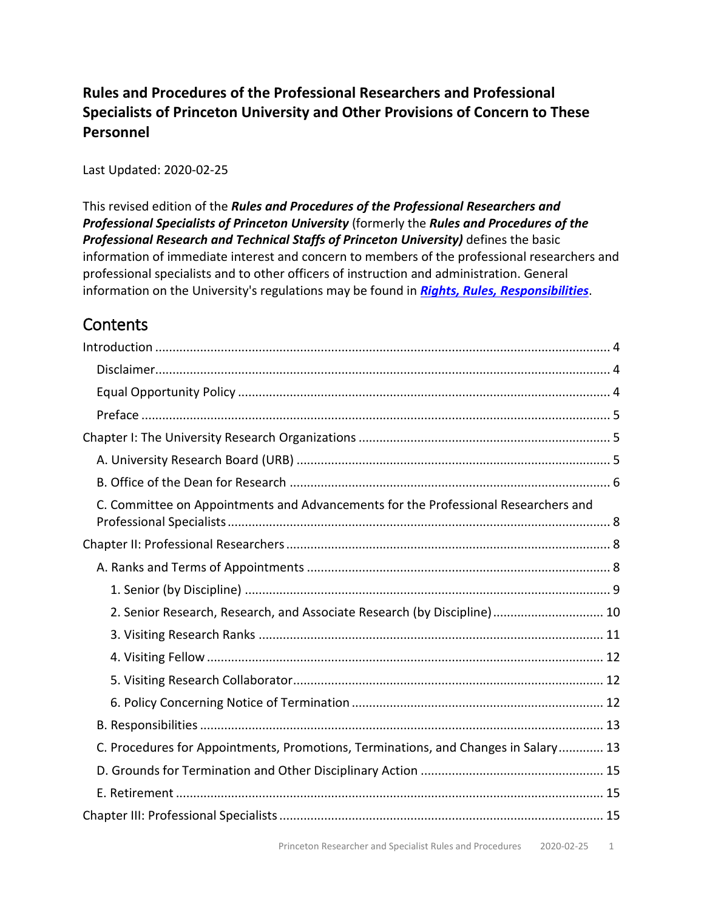### **Rules and Procedures of the Professional Researchers and Professional Specialists of Princeton University and Other Provisions of Concern to These Personnel**

Last Updated: 2020-02-25

This revised edition of the *Rules and Procedures of the Professional Researchers and Professional Specialists of Princeton University* (formerly the *Rules and Procedures of the Professional Research and Technical Staffs of Princeton University)* defines the basic information of immediate interest and concern to members of the professional researchers and professional specialists and to other officers of instruction and administration. General information on the University's regulations may be found in *[Rights, Rules, Responsibilities](http://www.princeton.edu/pr/pub/rrr/)*.

# **Contents**

| C. Committee on Appointments and Advancements for the Professional Researchers and |  |
|------------------------------------------------------------------------------------|--|
|                                                                                    |  |
|                                                                                    |  |
|                                                                                    |  |
| 2. Senior Research, Research, and Associate Research (by Discipline) 10            |  |
|                                                                                    |  |
|                                                                                    |  |
|                                                                                    |  |
|                                                                                    |  |
|                                                                                    |  |
| C. Procedures for Appointments, Promotions, Terminations, and Changes in Salary 13 |  |
|                                                                                    |  |
|                                                                                    |  |
|                                                                                    |  |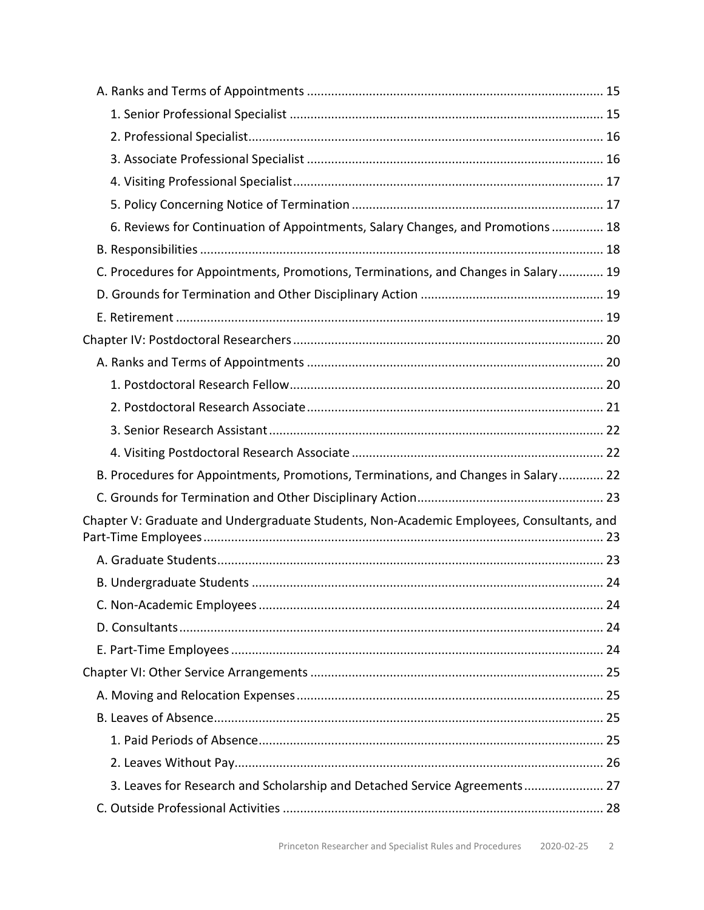| 6. Reviews for Continuation of Appointments, Salary Changes, and Promotions 18           |  |
|------------------------------------------------------------------------------------------|--|
|                                                                                          |  |
| C. Procedures for Appointments, Promotions, Terminations, and Changes in Salary 19       |  |
|                                                                                          |  |
|                                                                                          |  |
|                                                                                          |  |
|                                                                                          |  |
|                                                                                          |  |
|                                                                                          |  |
|                                                                                          |  |
|                                                                                          |  |
| B. Procedures for Appointments, Promotions, Terminations, and Changes in Salary 22       |  |
|                                                                                          |  |
| Chapter V: Graduate and Undergraduate Students, Non-Academic Employees, Consultants, and |  |
|                                                                                          |  |
|                                                                                          |  |
|                                                                                          |  |
|                                                                                          |  |
|                                                                                          |  |
|                                                                                          |  |
|                                                                                          |  |
|                                                                                          |  |
|                                                                                          |  |
|                                                                                          |  |
| 3. Leaves for Research and Scholarship and Detached Service Agreements 27                |  |
|                                                                                          |  |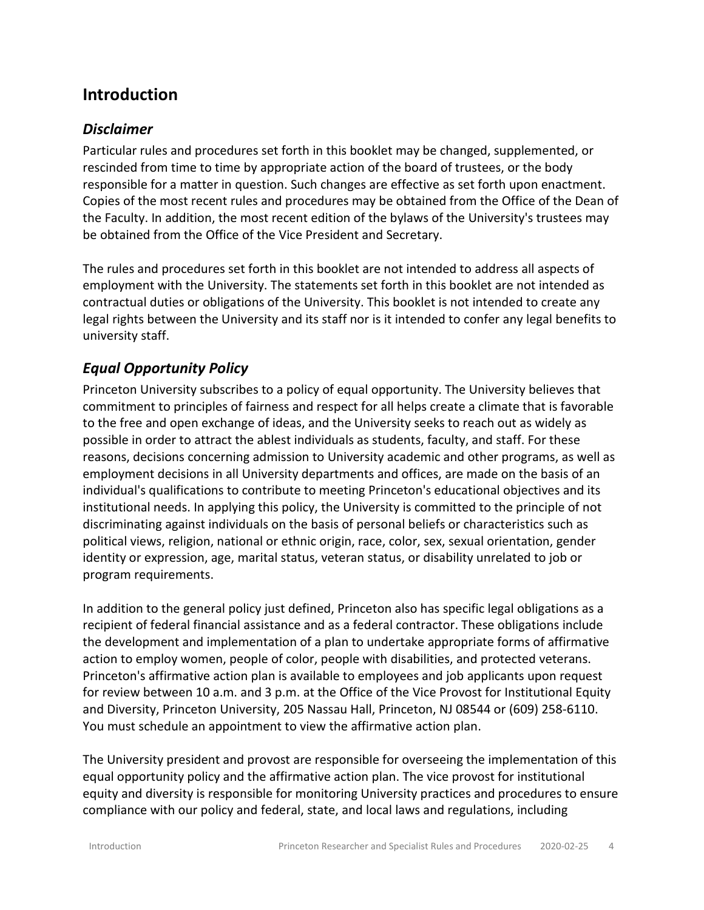## <span id="page-3-0"></span>**Introduction**

#### <span id="page-3-1"></span>*Disclaimer*

Particular rules and procedures set forth in this booklet may be changed, supplemented, or rescinded from time to time by appropriate action of the board of trustees, or the body responsible for a matter in question. Such changes are effective as set forth upon enactment. Copies of the most recent rules and procedures may be obtained from the Office of the Dean of the Faculty. In addition, the most recent edition of the bylaws of the University's trustees may be obtained from the Office of the Vice President and Secretary.

The rules and procedures set forth in this booklet are not intended to address all aspects of employment with the University. The statements set forth in this booklet are not intended as contractual duties or obligations of the University. This booklet is not intended to create any legal rights between the University and its staff nor is it intended to confer any legal benefits to university staff.

### <span id="page-3-2"></span>*Equal Opportunity Policy*

Princeton University subscribes to a policy of equal opportunity. The University believes that commitment to principles of fairness and respect for all helps create a climate that is favorable to the free and open exchange of ideas, and the University seeks to reach out as widely as possible in order to attract the ablest individuals as students, faculty, and staff. For these reasons, decisions concerning admission to University academic and other programs, as well as employment decisions in all University departments and offices, are made on the basis of an individual's qualifications to contribute to meeting Princeton's educational objectives and its institutional needs. In applying this policy, the University is committed to the principle of not discriminating against individuals on the basis of personal beliefs or characteristics such as political views, religion, national or ethnic origin, race, color, sex, sexual orientation, gender identity or expression, age, marital status, veteran status, or disability unrelated to job or program requirements.

In addition to the general policy just defined, Princeton also has specific legal obligations as a recipient of federal financial assistance and as a federal contractor. These obligations include the development and implementation of a plan to undertake appropriate forms of affirmative action to employ women, people of color, people with disabilities, and protected veterans. Princeton's affirmative action plan is available to employees and job applicants upon request for review between 10 a.m. and 3 p.m. at the Office of the Vice Provost for Institutional Equity and Diversity, Princeton University, 205 Nassau Hall, Princeton, NJ 08544 or (609) 258-6110. You must schedule an appointment to view the affirmative action plan.

The University president and provost are responsible for overseeing the implementation of this equal opportunity policy and the affirmative action plan. The vice provost for institutional equity and diversity is responsible for monitoring University practices and procedures to ensure compliance with our policy and federal, state, and local laws and regulations, including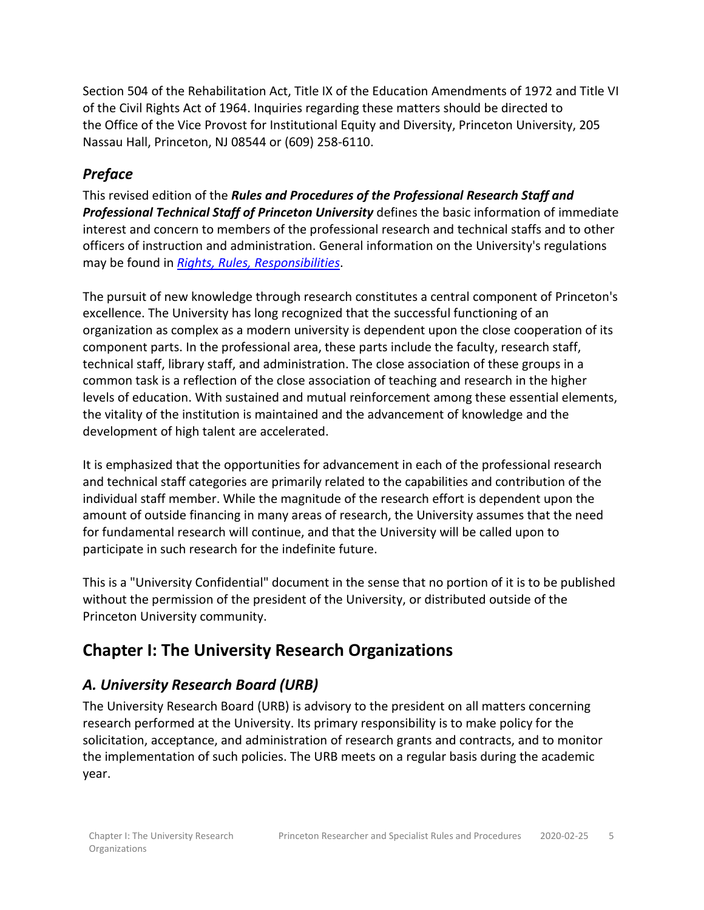Section 504 of the Rehabilitation Act, Title IX of the Education Amendments of 1972 and Title VI of the Civil Rights Act of 1964. Inquiries regarding these matters should be directed to the Office of the Vice Provost for Institutional Equity and Diversity, Princeton University, 205 Nassau Hall, Princeton, NJ 08544 or (609) 258-6110.

### <span id="page-4-0"></span>*Preface*

This revised edition of the *Rules and Procedures of the Professional Research Staff and Professional Technical Staff of Princeton University* defines the basic information of immediate interest and concern to members of the professional research and technical staffs and to other officers of instruction and administration. General information on the University's regulations may be found in *[Rights, Rules, Responsibilities](http://www.princeton.edu/pr/pub/rrr/)*.

The pursuit of new knowledge through research constitutes a central component of Princeton's excellence. The University has long recognized that the successful functioning of an organization as complex as a modern university is dependent upon the close cooperation of its component parts. In the professional area, these parts include the faculty, research staff, technical staff, library staff, and administration. The close association of these groups in a common task is a reflection of the close association of teaching and research in the higher levels of education. With sustained and mutual reinforcement among these essential elements, the vitality of the institution is maintained and the advancement of knowledge and the development of high talent are accelerated.

It is emphasized that the opportunities for advancement in each of the professional research and technical staff categories are primarily related to the capabilities and contribution of the individual staff member. While the magnitude of the research effort is dependent upon the amount of outside financing in many areas of research, the University assumes that the need for fundamental research will continue, and that the University will be called upon to participate in such research for the indefinite future.

This is a "University Confidential" document in the sense that no portion of it is to be published without the permission of the president of the University, or distributed outside of the Princeton University community.

# <span id="page-4-1"></span>**Chapter I: The University Research Organizations**

## <span id="page-4-2"></span>*A. University Research Board (URB)*

The University Research Board (URB) is advisory to the president on all matters concerning research performed at the University. Its primary responsibility is to make policy for the solicitation, acceptance, and administration of research grants and contracts, and to monitor the implementation of such policies. The URB meets on a regular basis during the academic year.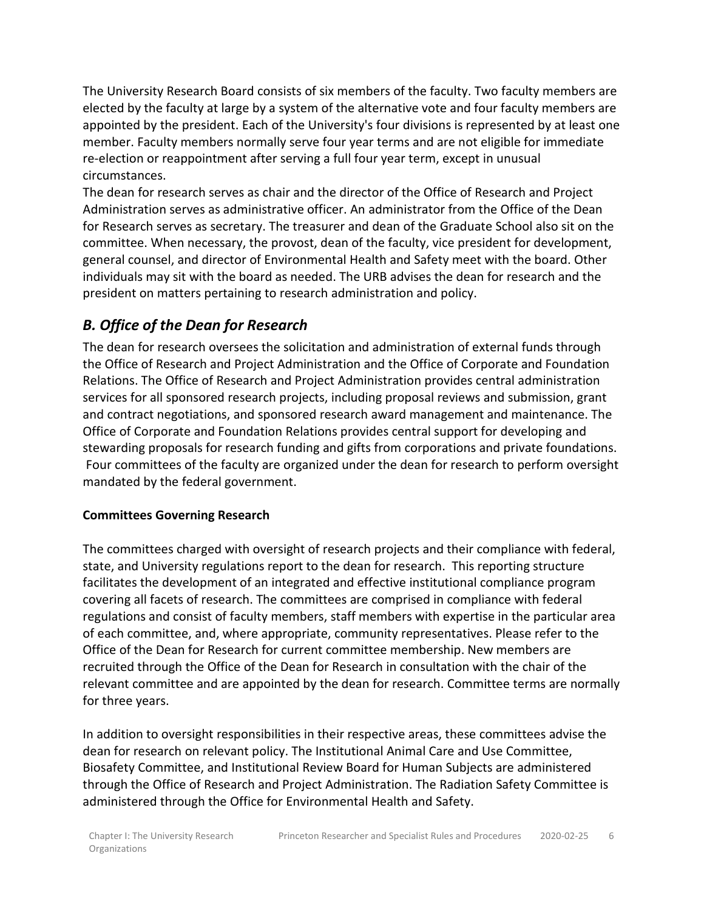The University Research Board consists of six members of the faculty. Two faculty members are elected by the faculty at large by a system of the alternative vote and four faculty members are appointed by the president. Each of the University's four divisions is represented by at least one member. Faculty members normally serve four year terms and are not eligible for immediate re-election or reappointment after serving a full four year term, except in unusual circumstances.

The dean for research serves as chair and the director of the Office of Research and Project Administration serves as administrative officer. An administrator from the Office of the Dean for Research serves as secretary. The treasurer and dean of the Graduate School also sit on the committee. When necessary, the provost, dean of the faculty, vice president for development, general counsel, and director of Environmental Health and Safety meet with the board. Other individuals may sit with the board as needed. The URB advises the dean for research and the president on matters pertaining to research administration and policy.

### <span id="page-5-0"></span>*B. Office of the Dean for Research*

The dean for research oversees the solicitation and administration of external funds through the Office of Research and Project Administration and the Office of Corporate and Foundation Relations. The Office of Research and Project Administration provides central administration services for all sponsored research projects, including proposal reviews and submission, grant and contract negotiations, and sponsored research award management and maintenance. The Office of Corporate and Foundation Relations provides central support for developing and stewarding proposals for research funding and gifts from corporations and private foundations. Four committees of the faculty are organized under the dean for research to perform oversight mandated by the federal government.

#### **Committees Governing Research**

The committees charged with oversight of research projects and their compliance with federal, state, and University regulations report to the dean for research. This reporting structure facilitates the development of an integrated and effective institutional compliance program covering all facets of research. The committees are comprised in compliance with federal regulations and consist of faculty members, staff members with expertise in the particular area of each committee, and, where appropriate, community representatives. Please refer to the Office of the Dean for Research for current committee membership. New members are recruited through the Office of the Dean for Research in consultation with the chair of the relevant committee and are appointed by the dean for research. Committee terms are normally for three years.

In addition to oversight responsibilities in their respective areas, these committees advise the dean for research on relevant policy. The Institutional Animal Care and Use Committee, Biosafety Committee, and Institutional Review Board for Human Subjects are administered through the Office of Research and Project Administration. The Radiation Safety Committee is administered through the Office for Environmental Health and Safety.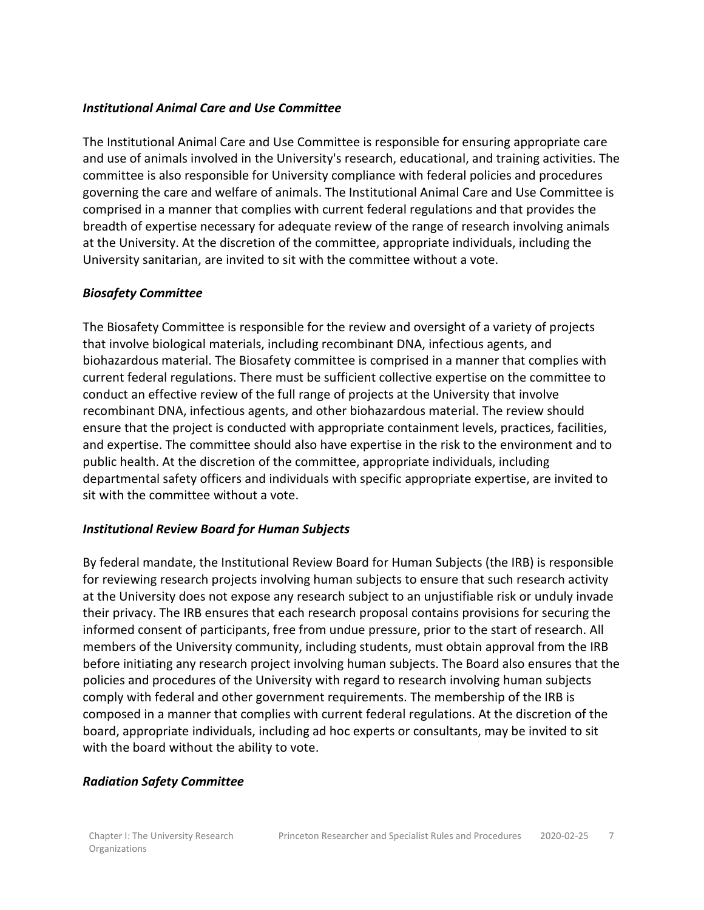#### *Institutional Animal Care and Use Committee*

The Institutional Animal Care and Use Committee is responsible for ensuring appropriate care and use of animals involved in the University's research, educational, and training activities. The committee is also responsible for University compliance with federal policies and procedures governing the care and welfare of animals. The Institutional Animal Care and Use Committee is comprised in a manner that complies with current federal regulations and that provides the breadth of expertise necessary for adequate review of the range of research involving animals at the University. At the discretion of the committee, appropriate individuals, including the University sanitarian, are invited to sit with the committee without a vote.

#### *Biosafety Committee*

The Biosafety Committee is responsible for the review and oversight of a variety of projects that involve biological materials, including recombinant DNA, infectious agents, and biohazardous material. The Biosafety committee is comprised in a manner that complies with current federal regulations. There must be sufficient collective expertise on the committee to conduct an effective review of the full range of projects at the University that involve recombinant DNA, infectious agents, and other biohazardous material. The review should ensure that the project is conducted with appropriate containment levels, practices, facilities, and expertise. The committee should also have expertise in the risk to the environment and to public health. At the discretion of the committee, appropriate individuals, including departmental safety officers and individuals with specific appropriate expertise, are invited to sit with the committee without a vote.

#### *Institutional Review Board for Human Subjects*

By federal mandate, the Institutional Review Board for Human Subjects (the IRB) is responsible for reviewing research projects involving human subjects to ensure that such research activity at the University does not expose any research subject to an unjustifiable risk or unduly invade their privacy. The IRB ensures that each research proposal contains provisions for securing the informed consent of participants, free from undue pressure, prior to the start of research. All members of the University community, including students, must obtain approval from the IRB before initiating any research project involving human subjects. The Board also ensures that the policies and procedures of the University with regard to research involving human subjects comply with federal and other government requirements. The membership of the IRB is composed in a manner that complies with current federal regulations. At the discretion of the board, appropriate individuals, including ad hoc experts or consultants, may be invited to sit with the board without the ability to vote.

#### *Radiation Safety Committee*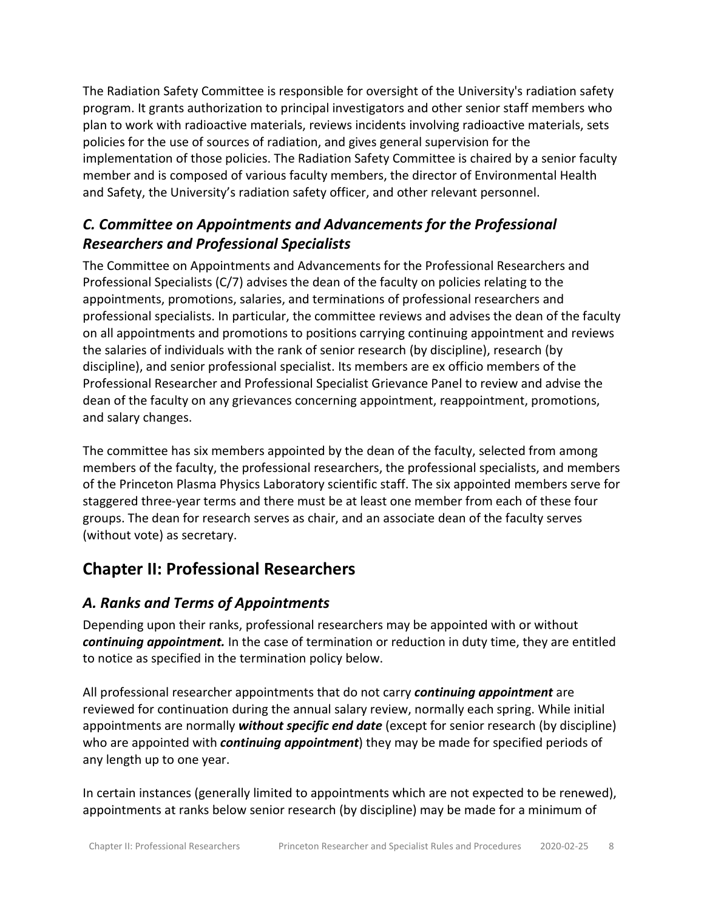The Radiation Safety Committee is responsible for oversight of the University's radiation safety program. It grants authorization to principal investigators and other senior staff members who plan to work with radioactive materials, reviews incidents involving radioactive materials, sets policies for the use of sources of radiation, and gives general supervision for the implementation of those policies. The Radiation Safety Committee is chaired by a senior faculty member and is composed of various faculty members, the director of Environmental Health and Safety, the University's radiation safety officer, and other relevant personnel.

### <span id="page-7-0"></span>*C. Committee on Appointments and Advancements for the Professional Researchers and Professional Specialists*

The Committee on Appointments and Advancements for the Professional Researchers and Professional Specialists (C/7) advises the dean of the faculty on policies relating to the appointments, promotions, salaries, and terminations of professional researchers and professional specialists. In particular, the committee reviews and advises the dean of the faculty on all appointments and promotions to positions carrying continuing appointment and reviews the salaries of individuals with the rank of senior research (by discipline), research (by discipline), and senior professional specialist. Its members are ex officio members of the Professional Researcher and Professional Specialist Grievance Panel to review and advise the dean of the faculty on any grievances concerning appointment, reappointment, promotions, and salary changes.

The committee has six members appointed by the dean of the faculty, selected from among members of the faculty, the professional researchers, the professional specialists, and members of the Princeton Plasma Physics Laboratory scientific staff. The six appointed members serve for staggered three-year terms and there must be at least one member from each of these four groups. The dean for research serves as chair, and an associate dean of the faculty serves (without vote) as secretary.

# <span id="page-7-1"></span>**Chapter II: Professional Researchers**

### <span id="page-7-2"></span>*A. Ranks and Terms of Appointments*

Depending upon their ranks, professional researchers may be appointed with or without *continuing appointment.* In the case of termination or reduction in duty time, they are entitled to notice as specified in the termination policy below.

All professional researcher appointments that do not carry *continuing appointment* are reviewed for continuation during the annual salary review, normally each spring. While initial appointments are normally *without specific end date* (except for senior research (by discipline) who are appointed with *continuing appointment*) they may be made for specified periods of any length up to one year.

In certain instances (generally limited to appointments which are not expected to be renewed), appointments at ranks below senior research (by discipline) may be made for a minimum of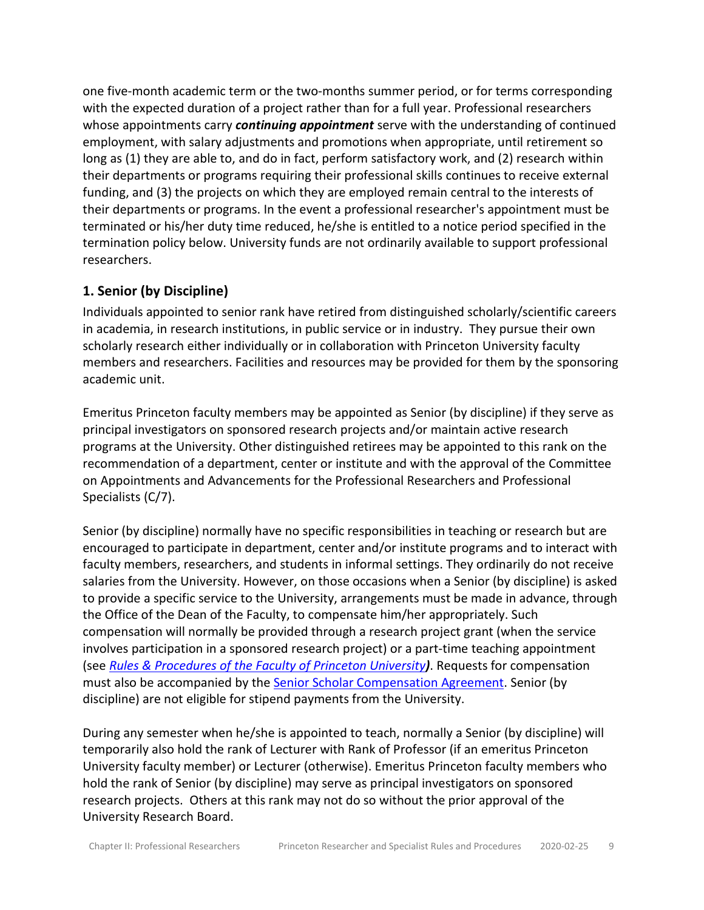one five-month academic term or the two-months summer period, or for terms corresponding with the expected duration of a project rather than for a full year. Professional researchers whose appointments carry *continuing appointment* serve with the understanding of continued employment, with salary adjustments and promotions when appropriate, until retirement so long as (1) they are able to, and do in fact, perform satisfactory work, and (2) research within their departments or programs requiring their professional skills continues to receive external funding, and (3) the projects on which they are employed remain central to the interests of their departments or programs. In the event a professional researcher's appointment must be terminated or his/her duty time reduced, he/she is entitled to a notice period specified in the termination policy below. University funds are not ordinarily available to support professional researchers.

#### <span id="page-8-0"></span>**1. Senior (by Discipline)**

Individuals appointed to senior rank have retired from distinguished scholarly/scientific careers in academia, in research institutions, in public service or in industry. They pursue their own scholarly research either individually or in collaboration with Princeton University faculty members and researchers. Facilities and resources may be provided for them by the sponsoring academic unit.

Emeritus Princeton faculty members may be appointed as Senior (by discipline) if they serve as principal investigators on sponsored research projects and/or maintain active research programs at the University. Other distinguished retirees may be appointed to this rank on the recommendation of a department, center or institute and with the approval of the Committee on Appointments and Advancements for the Professional Researchers and Professional Specialists (C/7).

Senior (by discipline) normally have no specific responsibilities in teaching or research but are encouraged to participate in department, center and/or institute programs and to interact with faculty members, researchers, and students in informal settings. They ordinarily do not receive salaries from the University. However, on those occasions when a Senior (by discipline) is asked to provide a specific service to the University, arrangements must be made in advance, through the Office of the Dean of the Faculty, to compensate him/her appropriately. Such compensation will normally be provided through a research project grant (when the service involves participation in a sponsored research project) or a part-time teaching appointment (see *[Rules & Procedures of the Faculty of Princeton University](https://dof.princeton.edu/node/936))*. Requests for compensation must also be accompanied by the [Senior Scholar Compensation Agreement.](https://dof.princeton.edu/node/8411) Senior (by discipline) are not eligible for stipend payments from the University.

During any semester when he/she is appointed to teach, normally a Senior (by discipline) will temporarily also hold the rank of Lecturer with Rank of Professor (if an emeritus Princeton University faculty member) or Lecturer (otherwise). Emeritus Princeton faculty members who hold the rank of Senior (by discipline) may serve as principal investigators on sponsored research projects. Others at this rank may not do so without the prior approval of the University Research Board.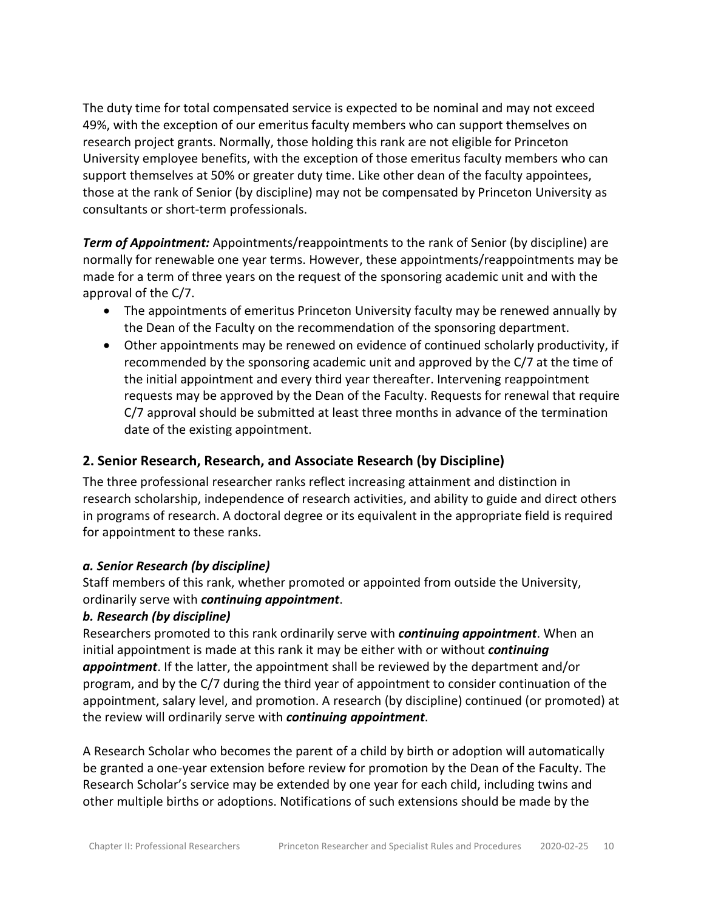The duty time for total compensated service is expected to be nominal and may not exceed 49%, with the exception of our emeritus faculty members who can support themselves on research project grants. Normally, those holding this rank are not eligible for Princeton University employee benefits, with the exception of those emeritus faculty members who can support themselves at 50% or greater duty time. Like other dean of the faculty appointees, those at the rank of Senior (by discipline) may not be compensated by Princeton University as consultants or short-term professionals.

*Term of Appointment:* Appointments/reappointments to the rank of Senior (by discipline) are normally for renewable one year terms. However, these appointments/reappointments may be made for a term of three years on the request of the sponsoring academic unit and with the approval of the C/7.

- The appointments of emeritus Princeton University faculty may be renewed annually by the Dean of the Faculty on the recommendation of the sponsoring department.
- Other appointments may be renewed on evidence of continued scholarly productivity, if recommended by the sponsoring academic unit and approved by the C/7 at the time of the initial appointment and every third year thereafter. Intervening reappointment requests may be approved by the Dean of the Faculty. Requests for renewal that require C/7 approval should be submitted at least three months in advance of the termination date of the existing appointment.

#### <span id="page-9-0"></span>**2. Senior Research, Research, and Associate Research (by Discipline)**

The three professional researcher ranks reflect increasing attainment and distinction in research scholarship, independence of research activities, and ability to guide and direct others in programs of research. A doctoral degree or its equivalent in the appropriate field is required for appointment to these ranks.

#### *a. Senior Research (by discipline)*

Staff members of this rank, whether promoted or appointed from outside the University, ordinarily serve with *continuing appointment*.

#### *b. Research (by discipline)*

Researchers promoted to this rank ordinarily serve with *continuing appointment*. When an initial appointment is made at this rank it may be either with or without *continuing appointment*. If the latter, the appointment shall be reviewed by the department and/or program, and by the C/7 during the third year of appointment to consider continuation of the appointment, salary level, and promotion. A research (by discipline) continued (or promoted) at the review will ordinarily serve with *continuing appointment*.

A Research Scholar who becomes the parent of a child by birth or adoption will automatically be granted a one-year extension before review for promotion by the Dean of the Faculty. The Research Scholar's service may be extended by one year for each child, including twins and other multiple births or adoptions. Notifications of such extensions should be made by the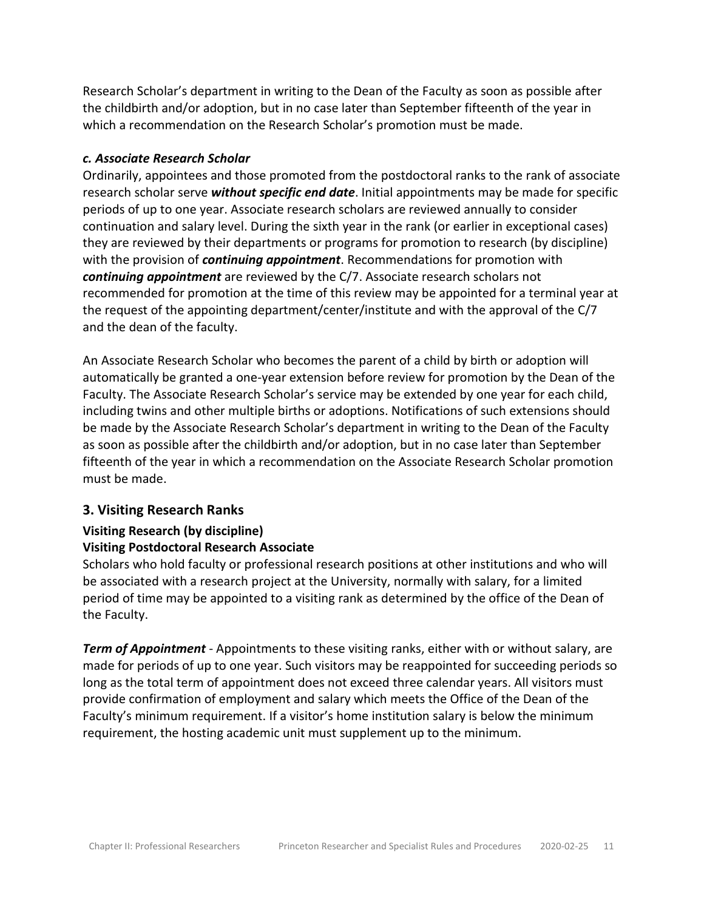Research Scholar's department in writing to the Dean of the Faculty as soon as possible after the childbirth and/or adoption, but in no case later than September fifteenth of the year in which a recommendation on the Research Scholar's promotion must be made.

#### *c. Associate Research Scholar*

Ordinarily, appointees and those promoted from the postdoctoral ranks to the rank of associate research scholar serve *without specific end date*. Initial appointments may be made for specific periods of up to one year. Associate research scholars are reviewed annually to consider continuation and salary level. During the sixth year in the rank (or earlier in exceptional cases) they are reviewed by their departments or programs for promotion to research (by discipline) with the provision of *continuing appointment*. Recommendations for promotion with *continuing appointment* are reviewed by the C/7. Associate research scholars not recommended for promotion at the time of this review may be appointed for a terminal year at the request of the appointing department/center/institute and with the approval of the C/7 and the dean of the faculty.

An Associate Research Scholar who becomes the parent of a child by birth or adoption will automatically be granted a one-year extension before review for promotion by the Dean of the Faculty. The Associate Research Scholar's service may be extended by one year for each child, including twins and other multiple births or adoptions. Notifications of such extensions should be made by the Associate Research Scholar's department in writing to the Dean of the Faculty as soon as possible after the childbirth and/or adoption, but in no case later than September fifteenth of the year in which a recommendation on the Associate Research Scholar promotion must be made.

#### <span id="page-10-0"></span>**3. Visiting Research Ranks**

# **Visiting Research (by discipline)**

#### **Visiting Postdoctoral Research Associate**

Scholars who hold faculty or professional research positions at other institutions and who will be associated with a research project at the University, normally with salary, for a limited period of time may be appointed to a visiting rank as determined by the office of the Dean of the Faculty.

*Term of Appointment* - Appointments to these visiting ranks, either with or without salary, are made for periods of up to one year. Such visitors may be reappointed for succeeding periods so long as the total term of appointment does not exceed three calendar years. All visitors must provide confirmation of employment and salary which meets the Office of the Dean of the Faculty's minimum requirement. If a visitor's home institution salary is below the minimum requirement, the hosting academic unit must supplement up to the minimum.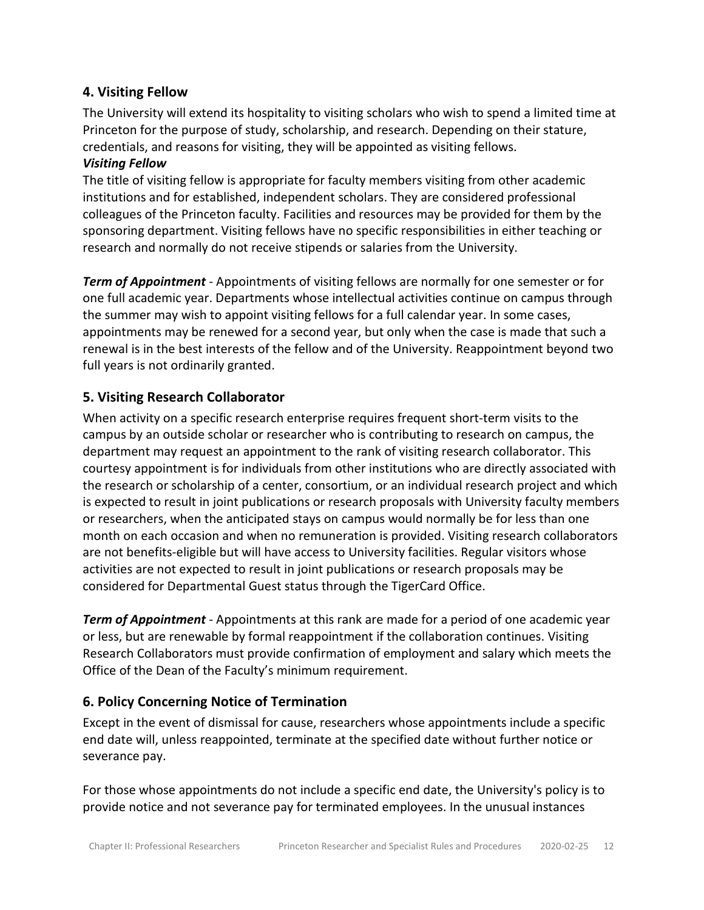#### <span id="page-11-0"></span>**4. Visiting Fellow**

The University will extend its hospitality to visiting scholars who wish to spend a limited time at Princeton for the purpose of study, scholarship, and research. Depending on their stature, credentials, and reasons for visiting, they will be appointed as visiting fellows.

#### *Visiting Fellow*

The title of visiting fellow is appropriate for faculty members visiting from other academic institutions and for established, independent scholars. They are considered professional colleagues of the Princeton faculty. Facilities and resources may be provided for them by the sponsoring department. Visiting fellows have no specific responsibilities in either teaching or research and normally do not receive stipends or salaries from the University.

*Term of Appointment* - Appointments of visiting fellows are normally for one semester or for one full academic year. Departments whose intellectual activities continue on campus through the summer may wish to appoint visiting fellows for a full calendar year. In some cases, appointments may be renewed for a second year, but only when the case is made that such a renewal is in the best interests of the fellow and of the University. Reappointment beyond two full years is not ordinarily granted.

#### <span id="page-11-1"></span>**5. Visiting Research Collaborator**

When activity on a specific research enterprise requires frequent short-term visits to the campus by an outside scholar or researcher who is contributing to research on campus, the department may request an appointment to the rank of visiting research collaborator. This courtesy appointment is for individuals from other institutions who are directly associated with the research or scholarship of a center, consortium, or an individual research project and which is expected to result in joint publications or research proposals with University faculty members or researchers, when the anticipated stays on campus would normally be for less than one month on each occasion and when no remuneration is provided. Visiting research collaborators are not benefits-eligible but will have access to University facilities. Regular visitors whose activities are not expected to result in joint publications or research proposals may be considered for Departmental Guest status through the TigerCard Office.

*Term of Appointment* - Appointments at this rank are made for a period of one academic year or less, but are renewable by formal reappointment if the collaboration continues. Visiting Research Collaborators must provide confirmation of employment and salary which meets the Office of the Dean of the Faculty's minimum requirement.

#### <span id="page-11-2"></span>**6. Policy Concerning Notice of Termination**

Except in the event of dismissal for cause, researchers whose appointments include a specific end date will, unless reappointed, terminate at the specified date without further notice or severance pay.

For those whose appointments do not include a specific end date, the University's policy is to provide notice and not severance pay for terminated employees. In the unusual instances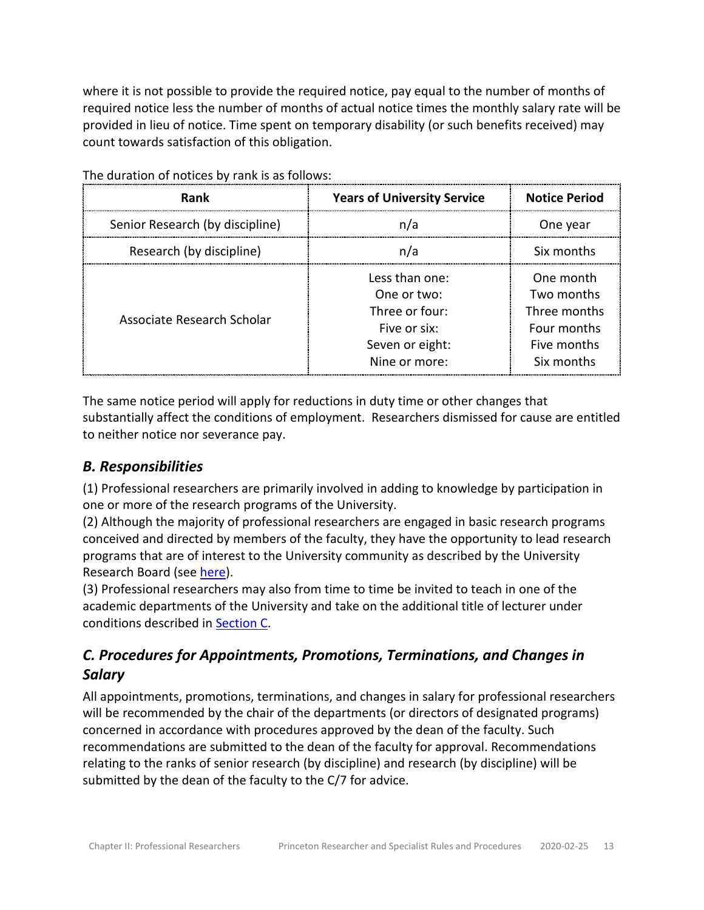where it is not possible to provide the required notice, pay equal to the number of months of required notice less the number of months of actual notice times the monthly salary rate will be provided in lieu of notice. Time spent on temporary disability (or such benefits received) may count towards satisfaction of this obligation.

| Rank                            | <b>Years of University Service</b>                                                                  | <b>Notice Period</b>                                                                |
|---------------------------------|-----------------------------------------------------------------------------------------------------|-------------------------------------------------------------------------------------|
| Senior Research (by discipline) | n/a                                                                                                 | One year                                                                            |
| Research (by discipline)        | n/a                                                                                                 | Six months                                                                          |
| Associate Research Scholar      | Less than one:<br>One or two:<br>Three or four:<br>Five or six:<br>Seven or eight:<br>Nine or more: | One month<br>Two months<br>Three months<br>Four months<br>Five months<br>Six months |

The duration of notices by rank is as follows:

The same notice period will apply for reductions in duty time or other changes that substantially affect the conditions of employment. Researchers dismissed for cause are entitled to neither notice nor severance pay.

### <span id="page-12-0"></span>*B. Responsibilities*

(1) Professional researchers are primarily involved in adding to knowledge by participation in one or more of the research programs of the University.

(2) Although the majority of professional researchers are engaged in basic research programs conceived and directed by members of the faculty, they have the opportunity to lead research programs that are of interest to the University community as described by the University Research Board (see [here\)](http://research.princeton.edu/urb/).

(3) Professional researchers may also from time to time be invited to teach in one of the academic departments of the University and take on the additional title of lecturer under conditions described in [Section C.](https://dof.princeton.edu/node/8646)

### <span id="page-12-1"></span>*C. Procedures for Appointments, Promotions, Terminations, and Changes in Salary*

All appointments, promotions, terminations, and changes in salary for professional researchers will be recommended by the chair of the departments (or directors of designated programs) concerned in accordance with procedures approved by the dean of the faculty. Such recommendations are submitted to the dean of the faculty for approval. Recommendations relating to the ranks of senior research (by discipline) and research (by discipline) will be submitted by the dean of the faculty to the C/7 for advice.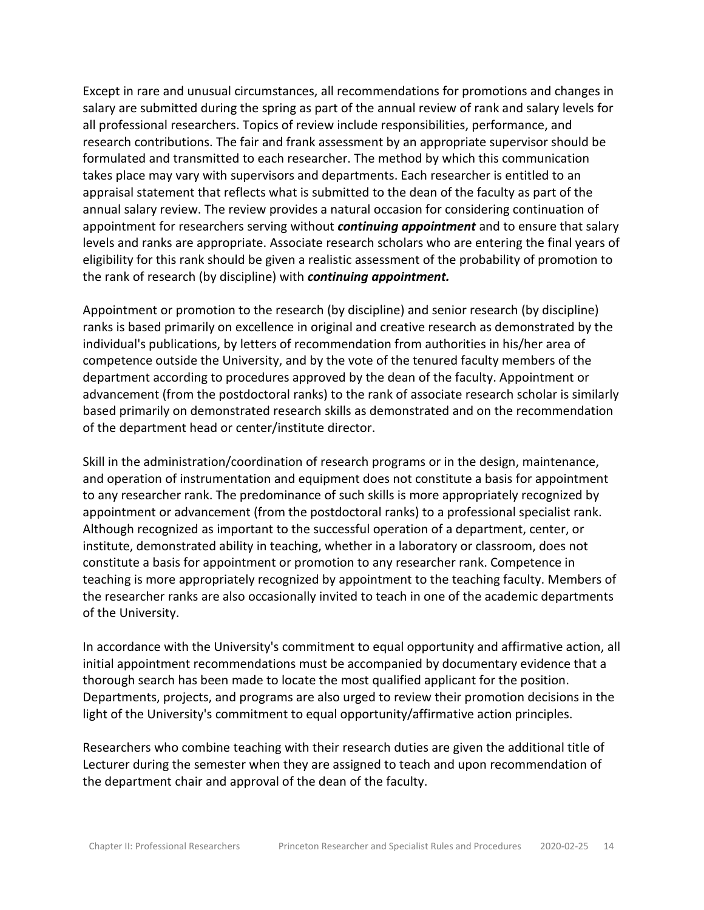Except in rare and unusual circumstances, all recommendations for promotions and changes in salary are submitted during the spring as part of the annual review of rank and salary levels for all professional researchers. Topics of review include responsibilities, performance, and research contributions. The fair and frank assessment by an appropriate supervisor should be formulated and transmitted to each researcher. The method by which this communication takes place may vary with supervisors and departments. Each researcher is entitled to an appraisal statement that reflects what is submitted to the dean of the faculty as part of the annual salary review. The review provides a natural occasion for considering continuation of appointment for researchers serving without *continuing appointment* and to ensure that salary levels and ranks are appropriate. Associate research scholars who are entering the final years of eligibility for this rank should be given a realistic assessment of the probability of promotion to the rank of research (by discipline) with *continuing appointment.*

Appointment or promotion to the research (by discipline) and senior research (by discipline) ranks is based primarily on excellence in original and creative research as demonstrated by the individual's publications, by letters of recommendation from authorities in his/her area of competence outside the University, and by the vote of the tenured faculty members of the department according to procedures approved by the dean of the faculty. Appointment or advancement (from the postdoctoral ranks) to the rank of associate research scholar is similarly based primarily on demonstrated research skills as demonstrated and on the recommendation of the department head or center/institute director.

Skill in the administration/coordination of research programs or in the design, maintenance, and operation of instrumentation and equipment does not constitute a basis for appointment to any researcher rank. The predominance of such skills is more appropriately recognized by appointment or advancement (from the postdoctoral ranks) to a professional specialist rank. Although recognized as important to the successful operation of a department, center, or institute, demonstrated ability in teaching, whether in a laboratory or classroom, does not constitute a basis for appointment or promotion to any researcher rank. Competence in teaching is more appropriately recognized by appointment to the teaching faculty. Members of the researcher ranks are also occasionally invited to teach in one of the academic departments of the University.

In accordance with the University's commitment to equal opportunity and affirmative action, all initial appointment recommendations must be accompanied by documentary evidence that a thorough search has been made to locate the most qualified applicant for the position. Departments, projects, and programs are also urged to review their promotion decisions in the light of the University's commitment to equal opportunity/affirmative action principles.

Researchers who combine teaching with their research duties are given the additional title of Lecturer during the semester when they are assigned to teach and upon recommendation of the department chair and approval of the dean of the faculty.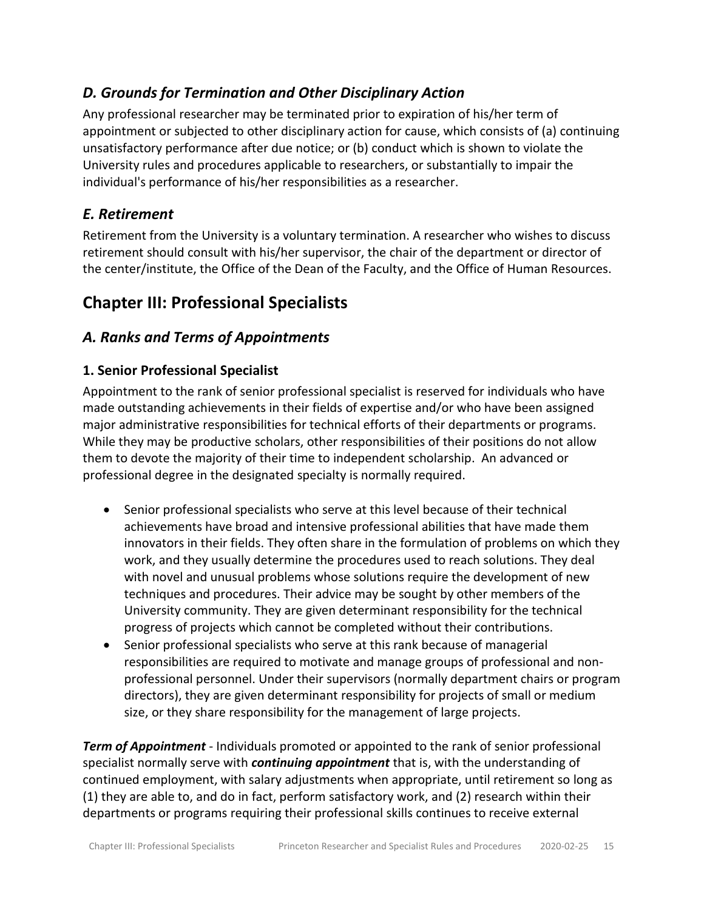### <span id="page-14-0"></span>*D. Grounds for Termination and Other Disciplinary Action*

Any professional researcher may be terminated prior to expiration of his/her term of appointment or subjected to other disciplinary action for cause, which consists of (a) continuing unsatisfactory performance after due notice; or (b) conduct which is shown to violate the University rules and procedures applicable to researchers, or substantially to impair the individual's performance of his/her responsibilities as a researcher.

### <span id="page-14-1"></span>*E. Retirement*

Retirement from the University is a voluntary termination. A researcher who wishes to discuss retirement should consult with his/her supervisor, the chair of the department or director of the center/institute, the Office of the Dean of the Faculty, and the Office of Human Resources.

# <span id="page-14-2"></span>**Chapter III: Professional Specialists**

### <span id="page-14-3"></span>*A. Ranks and Terms of Appointments*

### <span id="page-14-4"></span>**1. Senior Professional Specialist**

Appointment to the rank of senior professional specialist is reserved for individuals who have made outstanding achievements in their fields of expertise and/or who have been assigned major administrative responsibilities for technical efforts of their departments or programs. While they may be productive scholars, other responsibilities of their positions do not allow them to devote the majority of their time to independent scholarship. An advanced or professional degree in the designated specialty is normally required.

- Senior professional specialists who serve at this level because of their technical achievements have broad and intensive professional abilities that have made them innovators in their fields. They often share in the formulation of problems on which they work, and they usually determine the procedures used to reach solutions. They deal with novel and unusual problems whose solutions require the development of new techniques and procedures. Their advice may be sought by other members of the University community. They are given determinant responsibility for the technical progress of projects which cannot be completed without their contributions.
- Senior professional specialists who serve at this rank because of managerial responsibilities are required to motivate and manage groups of professional and nonprofessional personnel. Under their supervisors (normally department chairs or program directors), they are given determinant responsibility for projects of small or medium size, or they share responsibility for the management of large projects.

*Term of Appointment* - Individuals promoted or appointed to the rank of senior professional specialist normally serve with *continuing appointment* that is, with the understanding of continued employment, with salary adjustments when appropriate, until retirement so long as (1) they are able to, and do in fact, perform satisfactory work, and (2) research within their departments or programs requiring their professional skills continues to receive external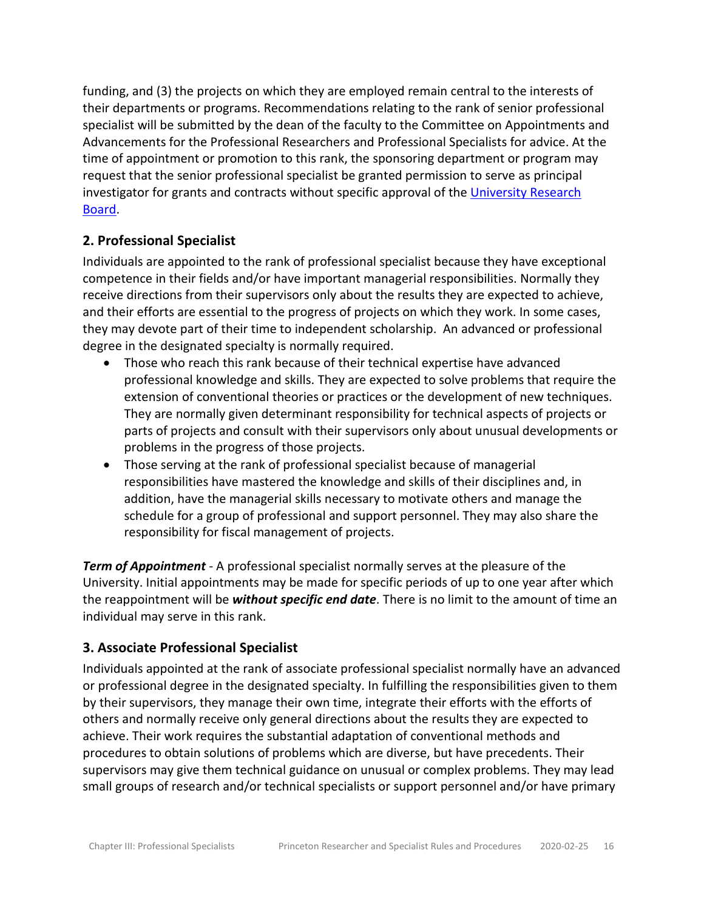funding, and (3) the projects on which they are employed remain central to the interests of their departments or programs. Recommendations relating to the rank of senior professional specialist will be submitted by the dean of the faculty to the Committee on Appointments and Advancements for the Professional Researchers and Professional Specialists for advice. At the time of appointment or promotion to this rank, the sponsoring department or program may request that the senior professional specialist be granted permission to serve as principal investigator for grants and contracts without specific approval of the [University Research](https://www.princeton.edu/research/urb/)  [Board.](https://www.princeton.edu/research/urb/)

#### <span id="page-15-0"></span>**2. Professional Specialist**

Individuals are appointed to the rank of professional specialist because they have exceptional competence in their fields and/or have important managerial responsibilities. Normally they receive directions from their supervisors only about the results they are expected to achieve, and their efforts are essential to the progress of projects on which they work. In some cases, they may devote part of their time to independent scholarship. An advanced or professional degree in the designated specialty is normally required.

- Those who reach this rank because of their technical expertise have advanced professional knowledge and skills. They are expected to solve problems that require the extension of conventional theories or practices or the development of new techniques. They are normally given determinant responsibility for technical aspects of projects or parts of projects and consult with their supervisors only about unusual developments or problems in the progress of those projects.
- Those serving at the rank of professional specialist because of managerial responsibilities have mastered the knowledge and skills of their disciplines and, in addition, have the managerial skills necessary to motivate others and manage the schedule for a group of professional and support personnel. They may also share the responsibility for fiscal management of projects.

*Term of Appointment* - A professional specialist normally serves at the pleasure of the University. Initial appointments may be made for specific periods of up to one year after which the reappointment will be *without specific end date*. There is no limit to the amount of time an individual may serve in this rank.

#### <span id="page-15-1"></span>**3. Associate Professional Specialist**

Individuals appointed at the rank of associate professional specialist normally have an advanced or professional degree in the designated specialty. In fulfilling the responsibilities given to them by their supervisors, they manage their own time, integrate their efforts with the efforts of others and normally receive only general directions about the results they are expected to achieve. Their work requires the substantial adaptation of conventional methods and procedures to obtain solutions of problems which are diverse, but have precedents. Their supervisors may give them technical guidance on unusual or complex problems. They may lead small groups of research and/or technical specialists or support personnel and/or have primary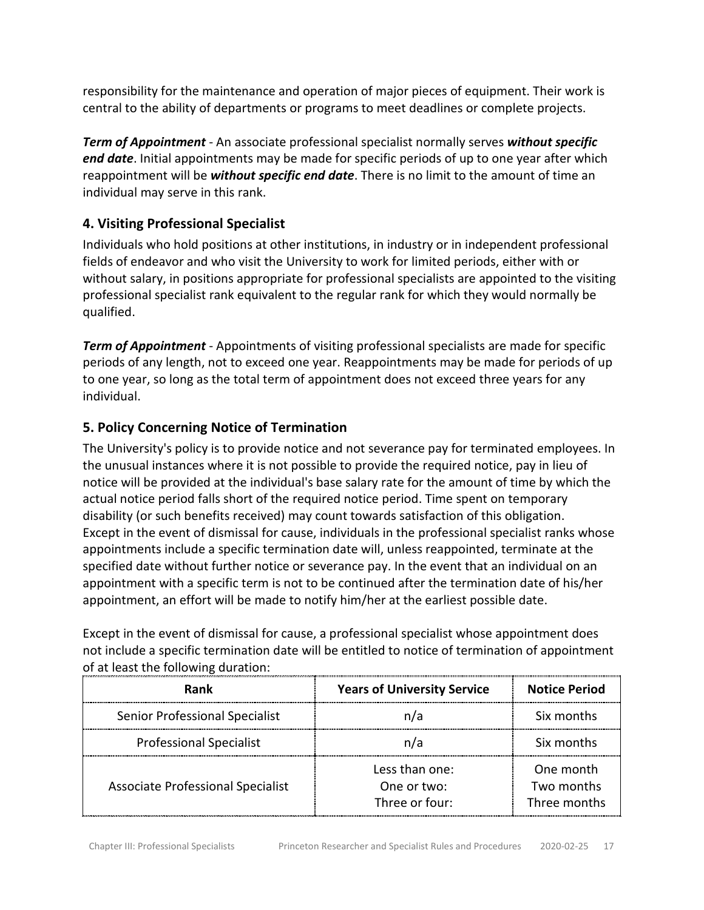responsibility for the maintenance and operation of major pieces of equipment. Their work is central to the ability of departments or programs to meet deadlines or complete projects.

*Term of Appointment* - An associate professional specialist normally serves *without specific end date*. Initial appointments may be made for specific periods of up to one year after which reappointment will be *without specific end date*. There is no limit to the amount of time an individual may serve in this rank.

### <span id="page-16-0"></span>**4. Visiting Professional Specialist**

Individuals who hold positions at other institutions, in industry or in independent professional fields of endeavor and who visit the University to work for limited periods, either with or without salary, in positions appropriate for professional specialists are appointed to the visiting professional specialist rank equivalent to the regular rank for which they would normally be qualified.

*Term of Appointment* - Appointments of visiting professional specialists are made for specific periods of any length, not to exceed one year. Reappointments may be made for periods of up to one year, so long as the total term of appointment does not exceed three years for any individual.

### <span id="page-16-1"></span>**5. Policy Concerning Notice of Termination**

The University's policy is to provide notice and not severance pay for terminated employees. In the unusual instances where it is not possible to provide the required notice, pay in lieu of notice will be provided at the individual's base salary rate for the amount of time by which the actual notice period falls short of the required notice period. Time spent on temporary disability (or such benefits received) may count towards satisfaction of this obligation. Except in the event of dismissal for cause, individuals in the professional specialist ranks whose appointments include a specific termination date will, unless reappointed, terminate at the specified date without further notice or severance pay. In the event that an individual on an appointment with a specific term is not to be continued after the termination date of his/her appointment, an effort will be made to notify him/her at the earliest possible date.

Except in the event of dismissal for cause, a professional specialist whose appointment does not include a specific termination date will be entitled to notice of termination of appointment of at least the following duration:

| Rank                                  | <b>Years of University Service</b>              | <b>Notice Period</b>                    |
|---------------------------------------|-------------------------------------------------|-----------------------------------------|
| <b>Senior Professional Specialist</b> | n/a                                             | Six months                              |
| <b>Professional Specialist</b>        | n/a                                             | Six months                              |
| Associate Professional Specialist     | Less than one:<br>One or two:<br>Three or four: | One month<br>Two months<br>Three months |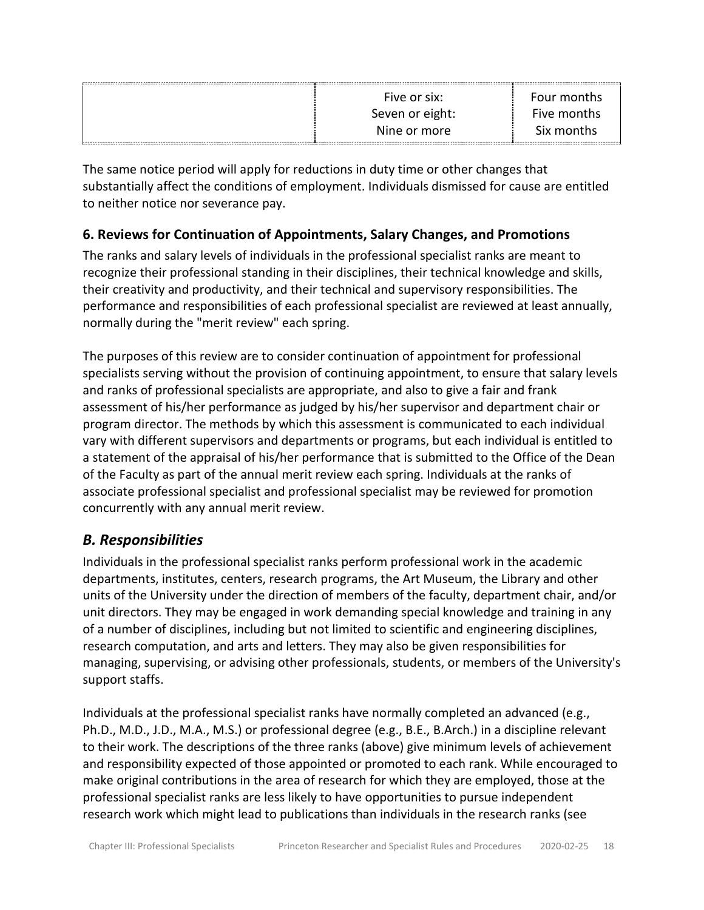| Five or six:    | Four months |
|-----------------|-------------|
| Seven or eight: | Five months |
| Nine or more    | Six months  |

The same notice period will apply for reductions in duty time or other changes that substantially affect the conditions of employment. Individuals dismissed for cause are entitled to neither notice nor severance pay.

### <span id="page-17-0"></span>**6. Reviews for Continuation of Appointments, Salary Changes, and Promotions**

The ranks and salary levels of individuals in the professional specialist ranks are meant to recognize their professional standing in their disciplines, their technical knowledge and skills, their creativity and productivity, and their technical and supervisory responsibilities. The performance and responsibilities of each professional specialist are reviewed at least annually, normally during the "merit review" each spring.

The purposes of this review are to consider continuation of appointment for professional specialists serving without the provision of continuing appointment, to ensure that salary levels and ranks of professional specialists are appropriate, and also to give a fair and frank assessment of his/her performance as judged by his/her supervisor and department chair or program director. The methods by which this assessment is communicated to each individual vary with different supervisors and departments or programs, but each individual is entitled to a statement of the appraisal of his/her performance that is submitted to the Office of the Dean of the Faculty as part of the annual merit review each spring. Individuals at the ranks of associate professional specialist and professional specialist may be reviewed for promotion concurrently with any annual merit review.

### <span id="page-17-1"></span>*B. Responsibilities*

Individuals in the professional specialist ranks perform professional work in the academic departments, institutes, centers, research programs, the Art Museum, the Library and other units of the University under the direction of members of the faculty, department chair, and/or unit directors. They may be engaged in work demanding special knowledge and training in any of a number of disciplines, including but not limited to scientific and engineering disciplines, research computation, and arts and letters. They may also be given responsibilities for managing, supervising, or advising other professionals, students, or members of the University's support staffs.

Individuals at the professional specialist ranks have normally completed an advanced (e.g., Ph.D., M.D., J.D., M.A., M.S.) or professional degree (e.g., B.E., B.Arch.) in a discipline relevant to their work. The descriptions of the three ranks (above) give minimum levels of achievement and responsibility expected of those appointed or promoted to each rank. While encouraged to make original contributions in the area of research for which they are employed, those at the professional specialist ranks are less likely to have opportunities to pursue independent research work which might lead to publications than individuals in the research ranks (see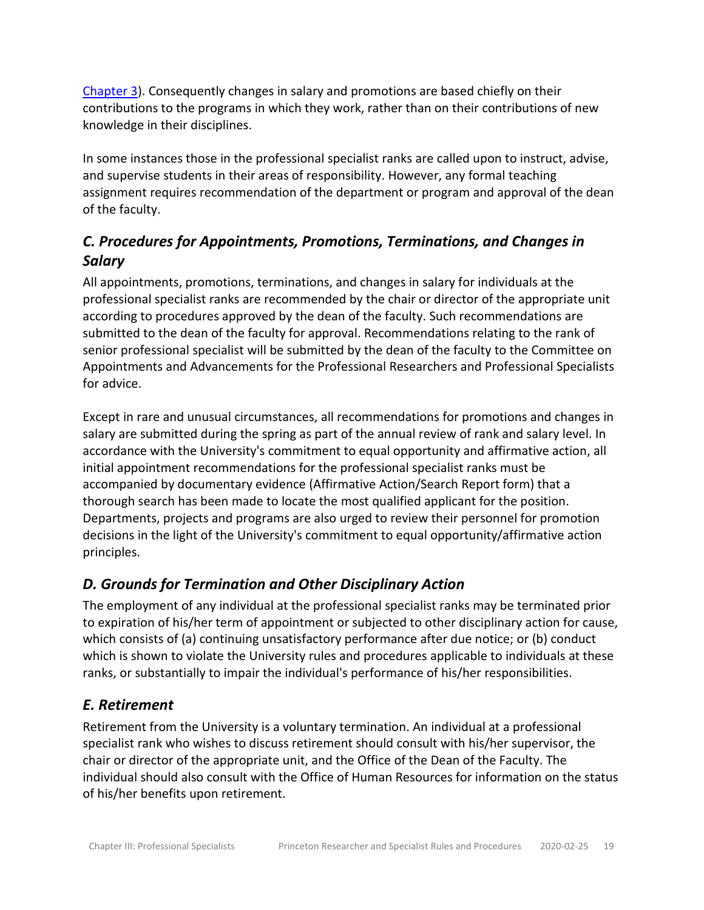[Chapter 3\)](https://dof.princeton.edu/node/8526). Consequently changes in salary and promotions are based chiefly on their contributions to the programs in which they work, rather than on their contributions of new knowledge in their disciplines.

In some instances those in the professional specialist ranks are called upon to instruct, advise, and supervise students in their areas of responsibility. However, any formal teaching assignment requires recommendation of the department or program and approval of the dean of the faculty.

### <span id="page-18-0"></span>*C. Procedures for Appointments, Promotions, Terminations, and Changes in Salary*

All appointments, promotions, terminations, and changes in salary for individuals at the professional specialist ranks are recommended by the chair or director of the appropriate unit according to procedures approved by the dean of the faculty. Such recommendations are submitted to the dean of the faculty for approval. Recommendations relating to the rank of senior professional specialist will be submitted by the dean of the faculty to the Committee on Appointments and Advancements for the Professional Researchers and Professional Specialists for advice.

Except in rare and unusual circumstances, all recommendations for promotions and changes in salary are submitted during the spring as part of the annual review of rank and salary level. In accordance with the University's commitment to equal opportunity and affirmative action, all initial appointment recommendations for the professional specialist ranks must be accompanied by documentary evidence (Affirmative Action/Search Report form) that a thorough search has been made to locate the most qualified applicant for the position. Departments, projects and programs are also urged to review their personnel for promotion decisions in the light of the University's commitment to equal opportunity/affirmative action principles.

## <span id="page-18-1"></span>*D. Grounds for Termination and Other Disciplinary Action*

The employment of any individual at the professional specialist ranks may be terminated prior to expiration of his/her term of appointment or subjected to other disciplinary action for cause, which consists of (a) continuing unsatisfactory performance after due notice; or (b) conduct which is shown to violate the University rules and procedures applicable to individuals at these ranks, or substantially to impair the individual's performance of his/her responsibilities.

### <span id="page-18-2"></span>*E. Retirement*

Retirement from the University is a voluntary termination. An individual at a professional specialist rank who wishes to discuss retirement should consult with his/her supervisor, the chair or director of the appropriate unit, and the Office of the Dean of the Faculty. The individual should also consult with the Office of Human Resources for information on the status of his/her benefits upon retirement.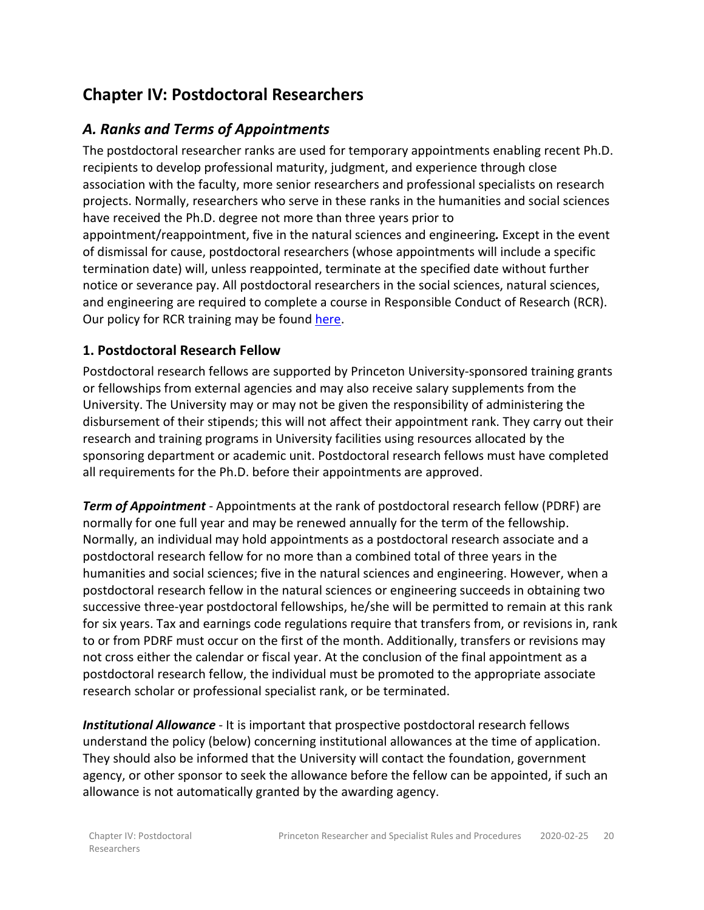# <span id="page-19-0"></span>**Chapter IV: Postdoctoral Researchers**

### <span id="page-19-1"></span>*A. Ranks and Terms of Appointments*

The postdoctoral researcher ranks are used for temporary appointments enabling recent Ph.D. recipients to develop professional maturity, judgment, and experience through close association with the faculty, more senior researchers and professional specialists on research projects. Normally, researchers who serve in these ranks in the humanities and social sciences have received the Ph.D. degree not more than three years prior to appointment/reappointment, five in the natural sciences and engineering*.* Except in the event of dismissal for cause, postdoctoral researchers (whose appointments will include a specific termination date) will, unless reappointed, terminate at the specified date without further notice or severance pay. All postdoctoral researchers in the social sciences, natural sciences, and engineering are required to complete a course in Responsible Conduct of Research (RCR). Our policy for RCR training may be found [here.](http://www.princeton.edu/orpa/compliance/responsible-conduct-of-re)

#### <span id="page-19-2"></span>**1. Postdoctoral Research Fellow**

Postdoctoral research fellows are supported by Princeton University-sponsored training grants or fellowships from external agencies and may also receive salary supplements from the University. The University may or may not be given the responsibility of administering the disbursement of their stipends; this will not affect their appointment rank. They carry out their research and training programs in University facilities using resources allocated by the sponsoring department or academic unit. Postdoctoral research fellows must have completed all requirements for the Ph.D. before their appointments are approved.

*Term of Appointment* - Appointments at the rank of postdoctoral research fellow (PDRF) are normally for one full year and may be renewed annually for the term of the fellowship. Normally, an individual may hold appointments as a postdoctoral research associate and a postdoctoral research fellow for no more than a combined total of three years in the humanities and social sciences; five in the natural sciences and engineering. However, when a postdoctoral research fellow in the natural sciences or engineering succeeds in obtaining two successive three-year postdoctoral fellowships, he/she will be permitted to remain at this rank for six years. Tax and earnings code regulations require that transfers from, or revisions in, rank to or from PDRF must occur on the first of the month. Additionally, transfers or revisions may not cross either the calendar or fiscal year. At the conclusion of the final appointment as a postdoctoral research fellow, the individual must be promoted to the appropriate associate research scholar or professional specialist rank, or be terminated.

*Institutional Allowance* - It is important that prospective postdoctoral research fellows understand the policy (below) concerning institutional allowances at the time of application. They should also be informed that the University will contact the foundation, government agency, or other sponsor to seek the allowance before the fellow can be appointed, if such an allowance is not automatically granted by the awarding agency.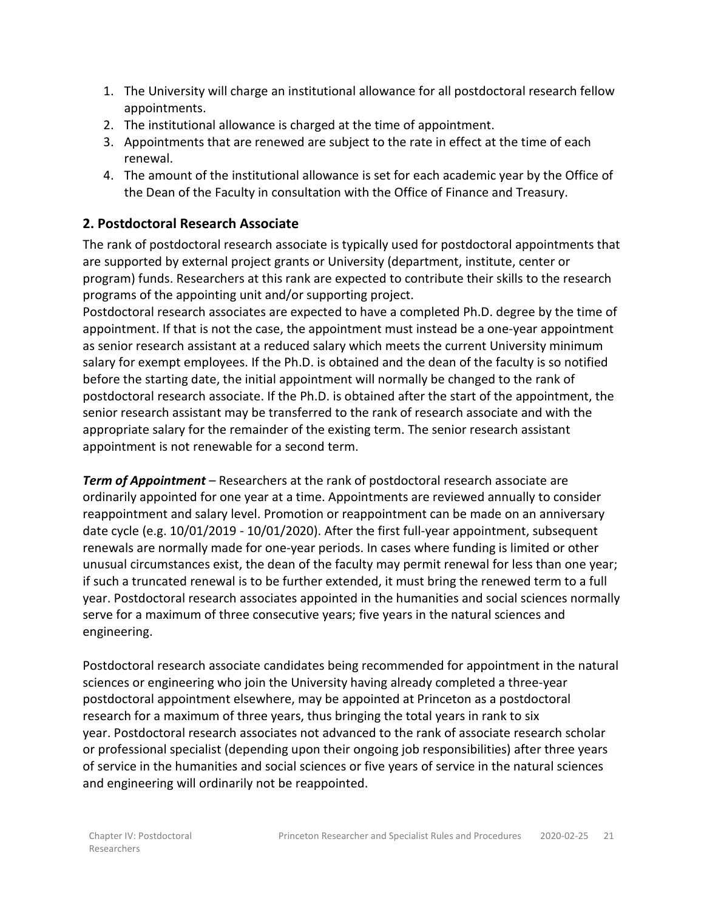- 1. The University will charge an institutional allowance for all postdoctoral research fellow appointments.
- 2. The institutional allowance is charged at the time of appointment.
- 3. Appointments that are renewed are subject to the rate in effect at the time of each renewal.
- 4. The amount of the institutional allowance is set for each academic year by the Office of the Dean of the Faculty in consultation with the Office of Finance and Treasury.

### <span id="page-20-0"></span>**2. Postdoctoral Research Associate**

The rank of postdoctoral research associate is typically used for postdoctoral appointments that are supported by external project grants or University (department, institute, center or program) funds. Researchers at this rank are expected to contribute their skills to the research programs of the appointing unit and/or supporting project.

Postdoctoral research associates are expected to have a completed Ph.D. degree by the time of appointment. If that is not the case, the appointment must instead be a one-year appointment as senior research assistant at a reduced salary which meets the current University minimum salary for exempt employees. If the Ph.D. is obtained and the dean of the faculty is so notified before the starting date, the initial appointment will normally be changed to the rank of postdoctoral research associate. If the Ph.D. is obtained after the start of the appointment, the senior research assistant may be transferred to the rank of research associate and with the appropriate salary for the remainder of the existing term. The senior research assistant appointment is not renewable for a second term.

*Term of Appointment* – Researchers at the rank of postdoctoral research associate are ordinarily appointed for one year at a time. Appointments are reviewed annually to consider reappointment and salary level. Promotion or reappointment can be made on an anniversary date cycle (e.g. 10/01/2019 - 10/01/2020). After the first full-year appointment, subsequent renewals are normally made for one-year periods. In cases where funding is limited or other unusual circumstances exist, the dean of the faculty may permit renewal for less than one year; if such a truncated renewal is to be further extended, it must bring the renewed term to a full year. Postdoctoral research associates appointed in the humanities and social sciences normally serve for a maximum of three consecutive years; five years in the natural sciences and engineering.

Postdoctoral research associate candidates being recommended for appointment in the natural sciences or engineering who join the University having already completed a three-year postdoctoral appointment elsewhere, may be appointed at Princeton as a postdoctoral research for a maximum of three years, thus bringing the total years in rank to six year. Postdoctoral research associates not advanced to the rank of associate research scholar or professional specialist (depending upon their ongoing job responsibilities) after three years of service in the humanities and social sciences or five years of service in the natural sciences and engineering will ordinarily not be reappointed.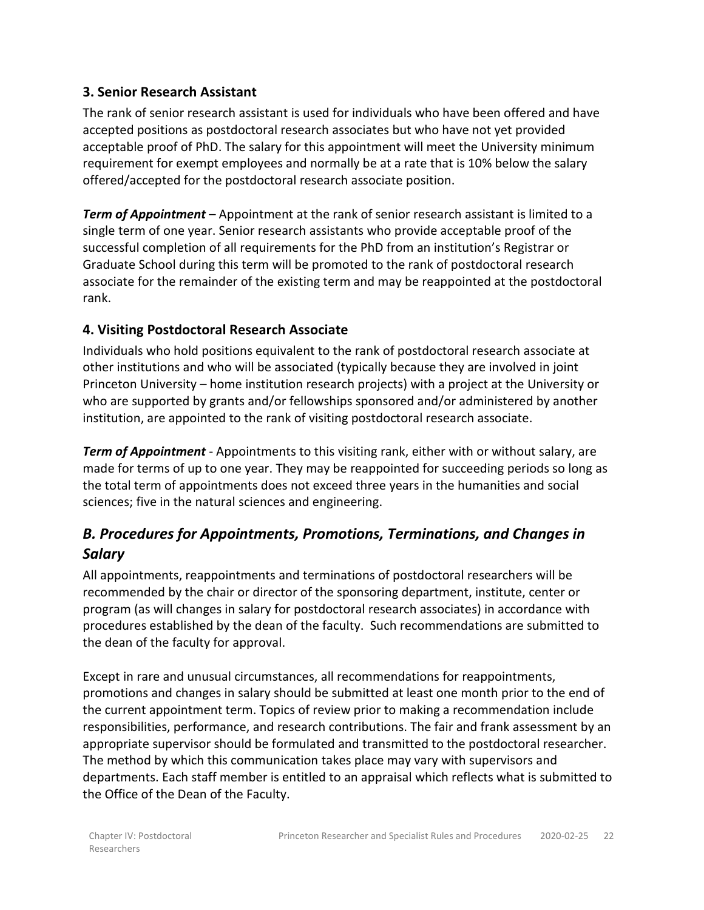#### <span id="page-21-0"></span>**3. Senior Research Assistant**

The rank of senior research assistant is used for individuals who have been offered and have accepted positions as postdoctoral research associates but who have not yet provided acceptable proof of PhD. The salary for this appointment will meet the University minimum requirement for exempt employees and normally be at a rate that is 10% below the salary offered/accepted for the postdoctoral research associate position.

*Term of Appointment* – Appointment at the rank of senior research assistant is limited to a single term of one year. Senior research assistants who provide acceptable proof of the successful completion of all requirements for the PhD from an institution's Registrar or Graduate School during this term will be promoted to the rank of postdoctoral research associate for the remainder of the existing term and may be reappointed at the postdoctoral rank.

### <span id="page-21-1"></span>**4. Visiting Postdoctoral Research Associate**

Individuals who hold positions equivalent to the rank of postdoctoral research associate at other institutions and who will be associated (typically because they are involved in joint Princeton University – home institution research projects) with a project at the University or who are supported by grants and/or fellowships sponsored and/or administered by another institution, are appointed to the rank of visiting postdoctoral research associate.

*Term of Appointment* - Appointments to this visiting rank, either with or without salary, are made for terms of up to one year. They may be reappointed for succeeding periods so long as the total term of appointments does not exceed three years in the humanities and social sciences; five in the natural sciences and engineering.

### <span id="page-21-2"></span>*B. Procedures for Appointments, Promotions, Terminations, and Changes in Salary*

All appointments, reappointments and terminations of postdoctoral researchers will be recommended by the chair or director of the sponsoring department, institute, center or program (as will changes in salary for postdoctoral research associates) in accordance with procedures established by the dean of the faculty. Such recommendations are submitted to the dean of the faculty for approval.

Except in rare and unusual circumstances, all recommendations for reappointments, promotions and changes in salary should be submitted at least one month prior to the end of the current appointment term. Topics of review prior to making a recommendation include responsibilities, performance, and research contributions. The fair and frank assessment by an appropriate supervisor should be formulated and transmitted to the postdoctoral researcher. The method by which this communication takes place may vary with supervisors and departments. Each staff member is entitled to an appraisal which reflects what is submitted to the Office of the Dean of the Faculty.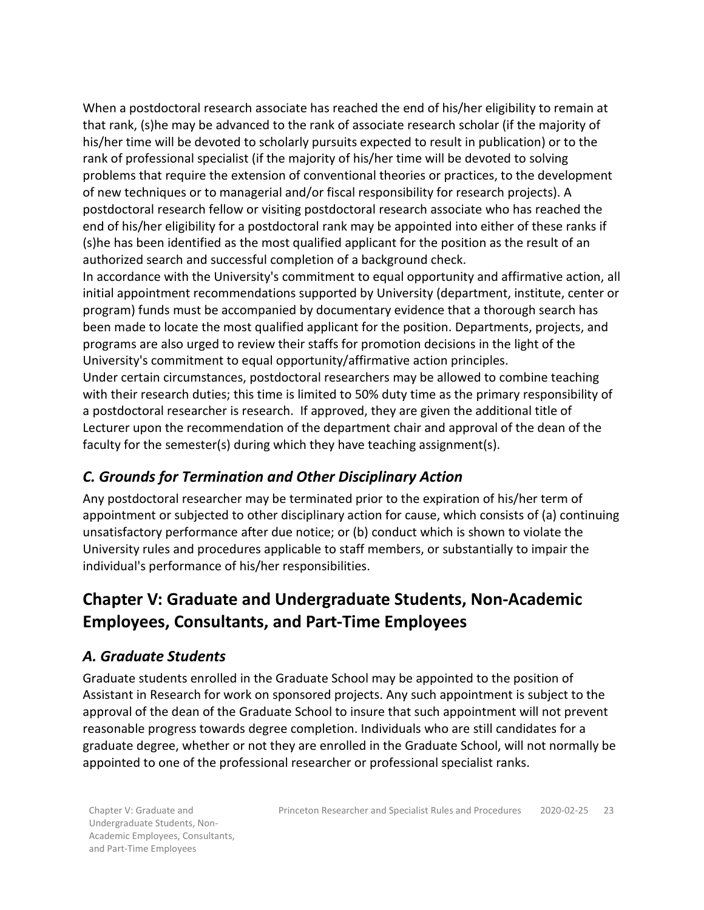When a postdoctoral research associate has reached the end of his/her eligibility to remain at that rank, (s)he may be advanced to the rank of associate research scholar (if the majority of his/her time will be devoted to scholarly pursuits expected to result in publication) or to the rank of professional specialist (if the majority of his/her time will be devoted to solving problems that require the extension of conventional theories or practices, to the development of new techniques or to managerial and/or fiscal responsibility for research projects). A postdoctoral research fellow or visiting postdoctoral research associate who has reached the end of his/her eligibility for a postdoctoral rank may be appointed into either of these ranks if (s)he has been identified as the most qualified applicant for the position as the result of an authorized search and successful completion of a background check.

In accordance with the University's commitment to equal opportunity and affirmative action, all initial appointment recommendations supported by University (department, institute, center or program) funds must be accompanied by documentary evidence that a thorough search has been made to locate the most qualified applicant for the position. Departments, projects, and programs are also urged to review their staffs for promotion decisions in the light of the University's commitment to equal opportunity/affirmative action principles.

Under certain circumstances, postdoctoral researchers may be allowed to combine teaching with their research duties; this time is limited to 50% duty time as the primary responsibility of a postdoctoral researcher is research. If approved, they are given the additional title of Lecturer upon the recommendation of the department chair and approval of the dean of the faculty for the semester(s) during which they have teaching assignment(s).

### <span id="page-22-0"></span>*C. Grounds for Termination and Other Disciplinary Action*

Any postdoctoral researcher may be terminated prior to the expiration of his/her term of appointment or subjected to other disciplinary action for cause, which consists of (a) continuing unsatisfactory performance after due notice; or (b) conduct which is shown to violate the University rules and procedures applicable to staff members, or substantially to impair the individual's performance of his/her responsibilities.

# <span id="page-22-1"></span>**Chapter V: Graduate and Undergraduate Students, Non-Academic Employees, Consultants, and Part-Time Employees**

### <span id="page-22-2"></span>*A. Graduate Students*

Graduate students enrolled in the Graduate School may be appointed to the position of Assistant in Research for work on sponsored projects. Any such appointment is subject to the approval of the dean of the Graduate School to insure that such appointment will not prevent reasonable progress towards degree completion. Individuals who are still candidates for a graduate degree, whether or not they are enrolled in the Graduate School, will not normally be appointed to one of the professional researcher or professional specialist ranks.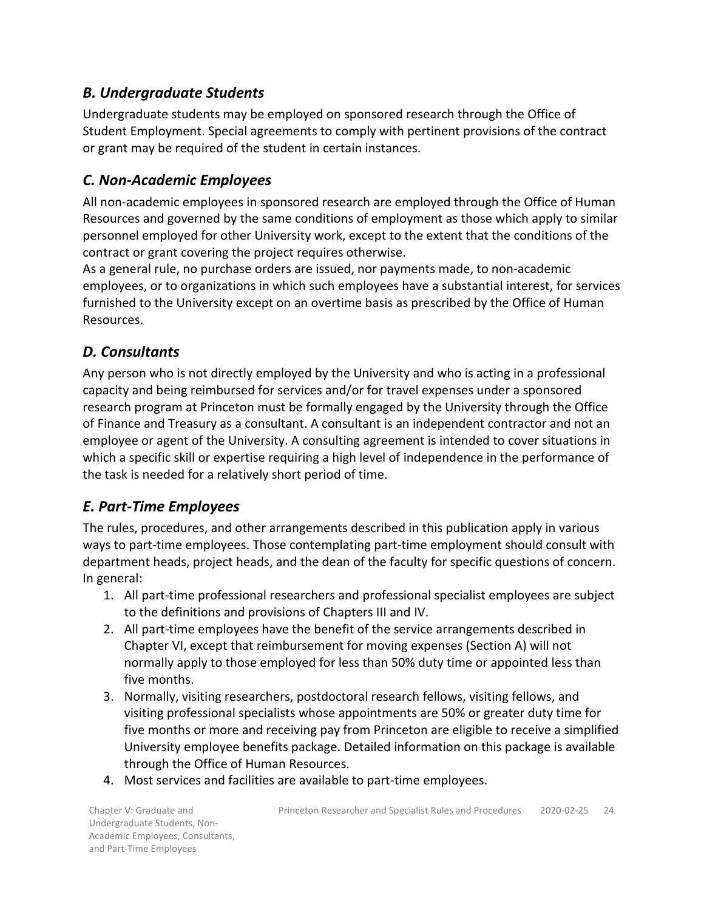### <span id="page-23-0"></span>*B. Undergraduate Students*

Undergraduate students may be employed on sponsored research through the Office of Student Employment. Special agreements to comply with pertinent provisions of the contract or grant may be required of the student in certain instances.

### <span id="page-23-1"></span>*C. Non-Academic Employees*

All non-academic employees in sponsored research are employed through the Office of Human Resources and governed by the same conditions of employment as those which apply to similar personnel employed for other University work, except to the extent that the conditions of the contract or grant covering the project requires otherwise.

As a general rule, no purchase orders are issued, nor payments made, to non-academic employees, or to organizations in which such employees have a substantial interest, for services furnished to the University except on an overtime basis as prescribed by the Office of Human Resources.

### <span id="page-23-2"></span>*D. Consultants*

Any person who is not directly employed by the University and who is acting in a professional capacity and being reimbursed for services and/or for travel expenses under a sponsored research program at Princeton must be formally engaged by the University through the Office of Finance and Treasury as a consultant. A consultant is an independent contractor and not an employee or agent of the University. A consulting agreement is intended to cover situations in which a specific skill or expertise requiring a high level of independence in the performance of the task is needed for a relatively short period of time.

## <span id="page-23-3"></span>*E. Part-Time Employees*

The rules, procedures, and other arrangements described in this publication apply in various ways to part-time employees. Those contemplating part-time employment should consult with department heads, project heads, and the dean of the faculty for specific questions of concern. In general:

- 1. All part-time professional researchers and professional specialist employees are subject to the definitions and provisions of Chapters III and IV.
- 2. All part-time employees have the benefit of the service arrangements described in Chapter VI, except that reimbursement for moving expenses (Section A) will not normally apply to those employed for less than 50% duty time or appointed less than five months.
- 3. Normally, visiting researchers, postdoctoral research fellows, visiting fellows, and visiting professional specialists whose appointments are 50% or greater duty time for five months or more and receiving pay from Princeton are eligible to receive a simplified University employee benefits package. Detailed information on this package is available through the Office of Human Resources.
- 4. Most services and facilities are available to part-time employees.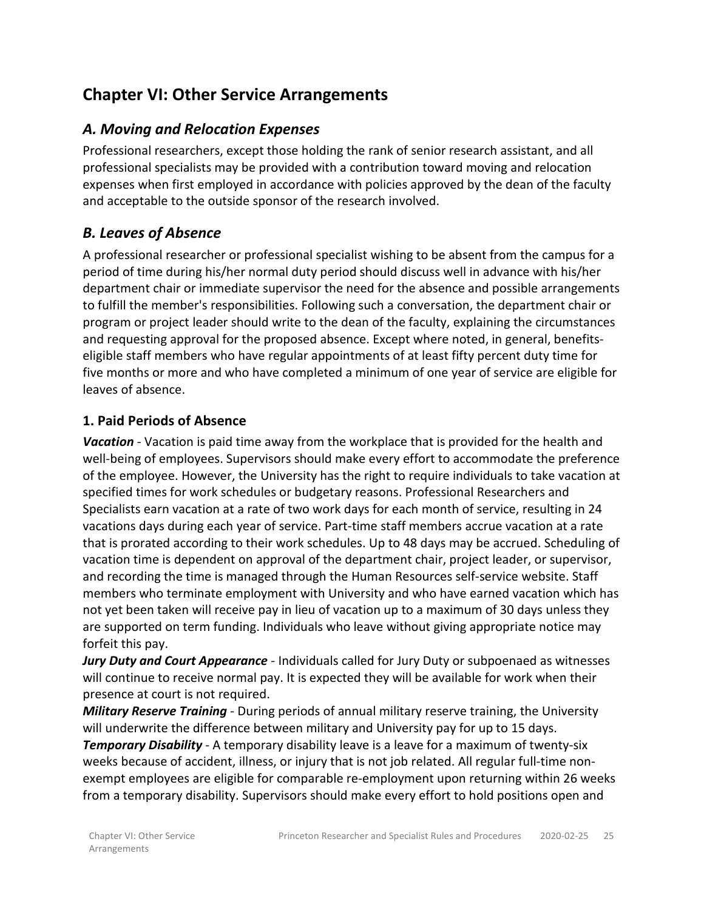# <span id="page-24-0"></span>**Chapter VI: Other Service Arrangements**

### <span id="page-24-1"></span>*A. Moving and Relocation Expenses*

Professional researchers, except those holding the rank of senior research assistant, and all professional specialists may be provided with a contribution toward moving and relocation expenses when first employed in accordance with policies approved by the dean of the faculty and acceptable to the outside sponsor of the research involved.

### <span id="page-24-2"></span>*B. Leaves of Absence*

A professional researcher or professional specialist wishing to be absent from the campus for a period of time during his/her normal duty period should discuss well in advance with his/her department chair or immediate supervisor the need for the absence and possible arrangements to fulfill the member's responsibilities. Following such a conversation, the department chair or program or project leader should write to the dean of the faculty, explaining the circumstances and requesting approval for the proposed absence. Except where noted, in general, benefitseligible staff members who have regular appointments of at least fifty percent duty time for five months or more and who have completed a minimum of one year of service are eligible for leaves of absence.

#### <span id="page-24-3"></span>**1. Paid Periods of Absence**

*Vacation* - Vacation is paid time away from the workplace that is provided for the health and well-being of employees. Supervisors should make every effort to accommodate the preference of the employee. However, the University has the right to require individuals to take vacation at specified times for work schedules or budgetary reasons. Professional Researchers and Specialists earn vacation at a rate of two work days for each month of service, resulting in 24 vacations days during each year of service. Part-time staff members accrue vacation at a rate that is prorated according to their work schedules. Up to 48 days may be accrued. Scheduling of vacation time is dependent on approval of the department chair, project leader, or supervisor, and recording the time is managed through the Human Resources self-service website. Staff members who terminate employment with University and who have earned vacation which has not yet been taken will receive pay in lieu of vacation up to a maximum of 30 days unless they are supported on term funding. Individuals who leave without giving appropriate notice may forfeit this pay.

*Jury Duty and Court Appearance* - Individuals called for Jury Duty or subpoenaed as witnesses will continue to receive normal pay. It is expected they will be available for work when their presence at court is not required.

*Military Reserve Training* - During periods of annual military reserve training, the University will underwrite the difference between military and University pay for up to 15 days. **Temporary Disability** - A temporary disability leave is a leave for a maximum of twenty-six weeks because of accident, illness, or injury that is not job related. All regular full-time nonexempt employees are eligible for comparable re-employment upon returning within 26 weeks from a temporary disability. Supervisors should make every effort to hold positions open and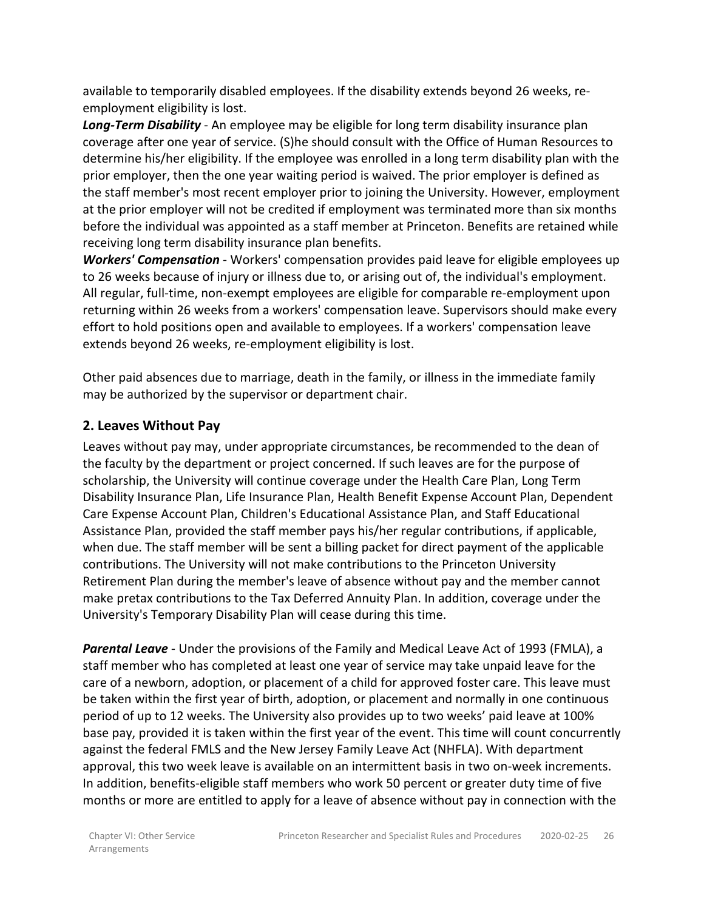available to temporarily disabled employees. If the disability extends beyond 26 weeks, reemployment eligibility is lost.

*Long-Term Disability* - An employee may be eligible for long term disability insurance plan coverage after one year of service. (S)he should consult with the Office of Human Resources to determine his/her eligibility. If the employee was enrolled in a long term disability plan with the prior employer, then the one year waiting period is waived. The prior employer is defined as the staff member's most recent employer prior to joining the University. However, employment at the prior employer will not be credited if employment was terminated more than six months before the individual was appointed as a staff member at Princeton. Benefits are retained while receiving long term disability insurance plan benefits.

*Workers' Compensation* - Workers' compensation provides paid leave for eligible employees up to 26 weeks because of injury or illness due to, or arising out of, the individual's employment. All regular, full-time, non-exempt employees are eligible for comparable re-employment upon returning within 26 weeks from a workers' compensation leave. Supervisors should make every effort to hold positions open and available to employees. If a workers' compensation leave extends beyond 26 weeks, re-employment eligibility is lost.

Other paid absences due to marriage, death in the family, or illness in the immediate family may be authorized by the supervisor or department chair.

### <span id="page-25-0"></span>**2. Leaves Without Pay**

Leaves without pay may, under appropriate circumstances, be recommended to the dean of the faculty by the department or project concerned. If such leaves are for the purpose of scholarship, the University will continue coverage under the Health Care Plan, Long Term Disability Insurance Plan, Life Insurance Plan, Health Benefit Expense Account Plan, Dependent Care Expense Account Plan, Children's Educational Assistance Plan, and Staff Educational Assistance Plan, provided the staff member pays his/her regular contributions, if applicable, when due. The staff member will be sent a billing packet for direct payment of the applicable contributions. The University will not make contributions to the Princeton University Retirement Plan during the member's leave of absence without pay and the member cannot make pretax contributions to the Tax Deferred Annuity Plan. In addition, coverage under the University's Temporary Disability Plan will cease during this time.

*Parental Leave* - Under the provisions of the Family and Medical Leave Act of 1993 (FMLA), a staff member who has completed at least one year of service may take unpaid leave for the care of a newborn, adoption, or placement of a child for approved foster care. This leave must be taken within the first year of birth, adoption, or placement and normally in one continuous period of up to 12 weeks. The University also provides up to two weeks' paid leave at 100% base pay, provided it is taken within the first year of the event. This time will count concurrently against the federal FMLS and the New Jersey Family Leave Act (NHFLA). With department approval, this two week leave is available on an intermittent basis in two on-week increments. In addition, benefits-eligible staff members who work 50 percent or greater duty time of five months or more are entitled to apply for a leave of absence without pay in connection with the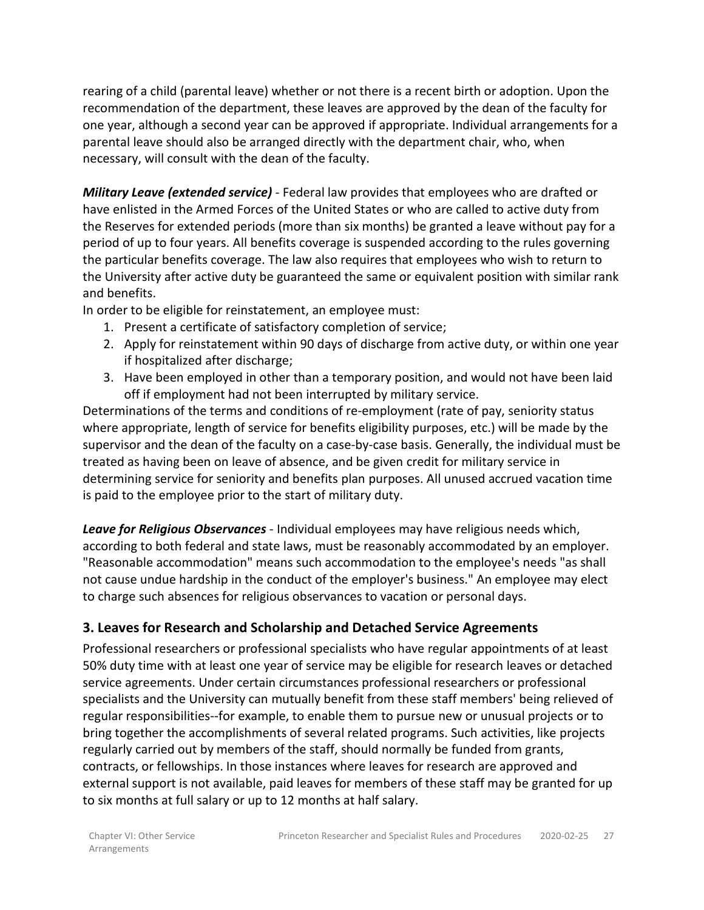rearing of a child (parental leave) whether or not there is a recent birth or adoption. Upon the recommendation of the department, these leaves are approved by the dean of the faculty for one year, although a second year can be approved if appropriate. Individual arrangements for a parental leave should also be arranged directly with the department chair, who, when necessary, will consult with the dean of the faculty.

*Military Leave (extended service)* - Federal law provides that employees who are drafted or have enlisted in the Armed Forces of the United States or who are called to active duty from the Reserves for extended periods (more than six months) be granted a leave without pay for a period of up to four years. All benefits coverage is suspended according to the rules governing the particular benefits coverage. The law also requires that employees who wish to return to the University after active duty be guaranteed the same or equivalent position with similar rank and benefits.

In order to be eligible for reinstatement, an employee must:

- 1. Present a certificate of satisfactory completion of service;
- 2. Apply for reinstatement within 90 days of discharge from active duty, or within one year if hospitalized after discharge;
- 3. Have been employed in other than a temporary position, and would not have been laid off if employment had not been interrupted by military service.

Determinations of the terms and conditions of re-employment (rate of pay, seniority status where appropriate, length of service for benefits eligibility purposes, etc.) will be made by the supervisor and the dean of the faculty on a case-by-case basis. Generally, the individual must be treated as having been on leave of absence, and be given credit for military service in determining service for seniority and benefits plan purposes. All unused accrued vacation time is paid to the employee prior to the start of military duty.

*Leave for Religious Observances* - Individual employees may have religious needs which, according to both federal and state laws, must be reasonably accommodated by an employer. "Reasonable accommodation" means such accommodation to the employee's needs "as shall not cause undue hardship in the conduct of the employer's business." An employee may elect to charge such absences for religious observances to vacation or personal days.

### <span id="page-26-0"></span>**3. Leaves for Research and Scholarship and Detached Service Agreements**

Professional researchers or professional specialists who have regular appointments of at least 50% duty time with at least one year of service may be eligible for research leaves or detached service agreements. Under certain circumstances professional researchers or professional specialists and the University can mutually benefit from these staff members' being relieved of regular responsibilities--for example, to enable them to pursue new or unusual projects or to bring together the accomplishments of several related programs. Such activities, like projects regularly carried out by members of the staff, should normally be funded from grants, contracts, or fellowships. In those instances where leaves for research are approved and external support is not available, paid leaves for members of these staff may be granted for up to six months at full salary or up to 12 months at half salary.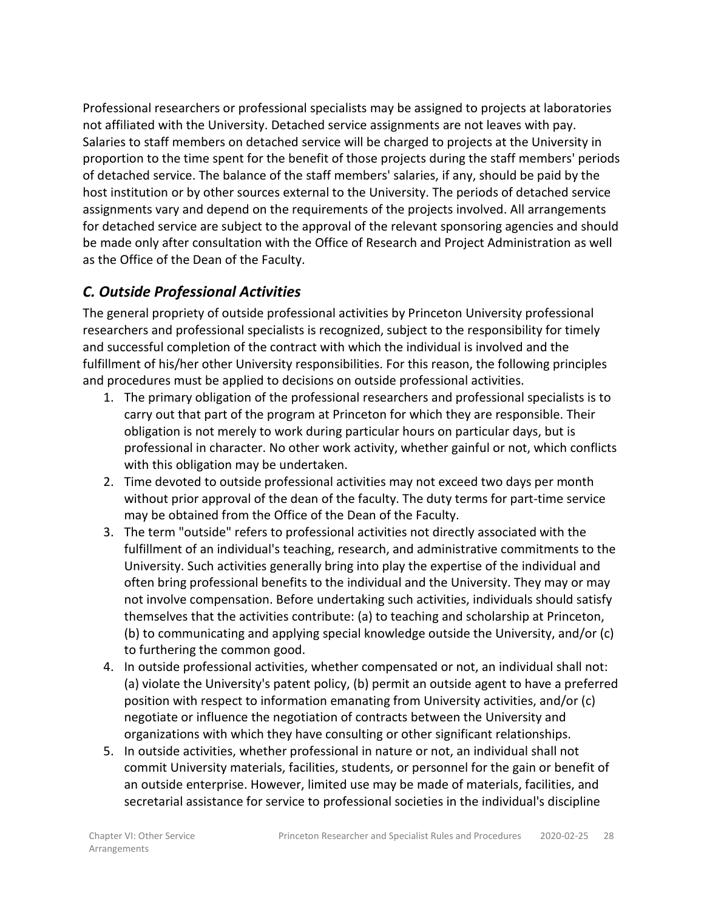Professional researchers or professional specialists may be assigned to projects at laboratories not affiliated with the University. Detached service assignments are not leaves with pay. Salaries to staff members on detached service will be charged to projects at the University in proportion to the time spent for the benefit of those projects during the staff members' periods of detached service. The balance of the staff members' salaries, if any, should be paid by the host institution or by other sources external to the University. The periods of detached service assignments vary and depend on the requirements of the projects involved. All arrangements for detached service are subject to the approval of the relevant sponsoring agencies and should be made only after consultation with the Office of Research and Project Administration as well as the Office of the Dean of the Faculty.

### <span id="page-27-0"></span>*C. Outside Professional Activities*

The general propriety of outside professional activities by Princeton University professional researchers and professional specialists is recognized, subject to the responsibility for timely and successful completion of the contract with which the individual is involved and the fulfillment of his/her other University responsibilities. For this reason, the following principles and procedures must be applied to decisions on outside professional activities.

- 1. The primary obligation of the professional researchers and professional specialists is to carry out that part of the program at Princeton for which they are responsible. Their obligation is not merely to work during particular hours on particular days, but is professional in character. No other work activity, whether gainful or not, which conflicts with this obligation may be undertaken.
- 2. Time devoted to outside professional activities may not exceed two days per month without prior approval of the dean of the faculty. The duty terms for part-time service may be obtained from the Office of the Dean of the Faculty.
- 3. The term "outside" refers to professional activities not directly associated with the fulfillment of an individual's teaching, research, and administrative commitments to the University. Such activities generally bring into play the expertise of the individual and often bring professional benefits to the individual and the University. They may or may not involve compensation. Before undertaking such activities, individuals should satisfy themselves that the activities contribute: (a) to teaching and scholarship at Princeton, (b) to communicating and applying special knowledge outside the University, and/or (c) to furthering the common good.
- 4. In outside professional activities, whether compensated or not, an individual shall not: (a) violate the University's patent policy, (b) permit an outside agent to have a preferred position with respect to information emanating from University activities, and/or (c) negotiate or influence the negotiation of contracts between the University and organizations with which they have consulting or other significant relationships.
- 5. In outside activities, whether professional in nature or not, an individual shall not commit University materials, facilities, students, or personnel for the gain or benefit of an outside enterprise. However, limited use may be made of materials, facilities, and secretarial assistance for service to professional societies in the individual's discipline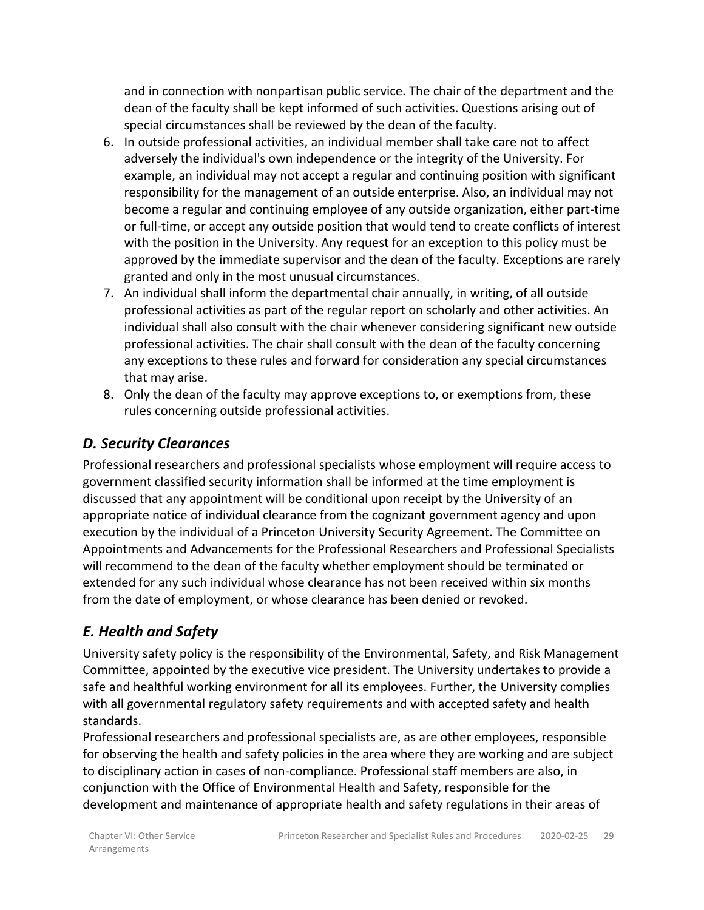and in connection with nonpartisan public service. The chair of the department and the dean of the faculty shall be kept informed of such activities. Questions arising out of special circumstances shall be reviewed by the dean of the faculty.

- 6. In outside professional activities, an individual member shall take care not to affect adversely the individual's own independence or the integrity of the University. For example, an individual may not accept a regular and continuing position with significant responsibility for the management of an outside enterprise. Also, an individual may not become a regular and continuing employee of any outside organization, either part-time or full-time, or accept any outside position that would tend to create conflicts of interest with the position in the University. Any request for an exception to this policy must be approved by the immediate supervisor and the dean of the faculty. Exceptions are rarely granted and only in the most unusual circumstances.
- 7. An individual shall inform the departmental chair annually, in writing, of all outside professional activities as part of the regular report on scholarly and other activities. An individual shall also consult with the chair whenever considering significant new outside professional activities. The chair shall consult with the dean of the faculty concerning any exceptions to these rules and forward for consideration any special circumstances that may arise.
- 8. Only the dean of the faculty may approve exceptions to, or exemptions from, these rules concerning outside professional activities.

### <span id="page-28-0"></span>*D. Security Clearances*

Professional researchers and professional specialists whose employment will require access to government classified security information shall be informed at the time employment is discussed that any appointment will be conditional upon receipt by the University of an appropriate notice of individual clearance from the cognizant government agency and upon execution by the individual of a Princeton University Security Agreement. The Committee on Appointments and Advancements for the Professional Researchers and Professional Specialists will recommend to the dean of the faculty whether employment should be terminated or extended for any such individual whose clearance has not been received within six months from the date of employment, or whose clearance has been denied or revoked.

## <span id="page-28-1"></span>*E. Health and Safety*

University safety policy is the responsibility of the Environmental, Safety, and Risk Management Committee, appointed by the executive vice president. The University undertakes to provide a safe and healthful working environment for all its employees. Further, the University complies with all governmental regulatory safety requirements and with accepted safety and health standards.

Professional researchers and professional specialists are, as are other employees, responsible for observing the health and safety policies in the area where they are working and are subject to disciplinary action in cases of non-compliance. Professional staff members are also, in conjunction with the Office of Environmental Health and Safety, responsible for the development and maintenance of appropriate health and safety regulations in their areas of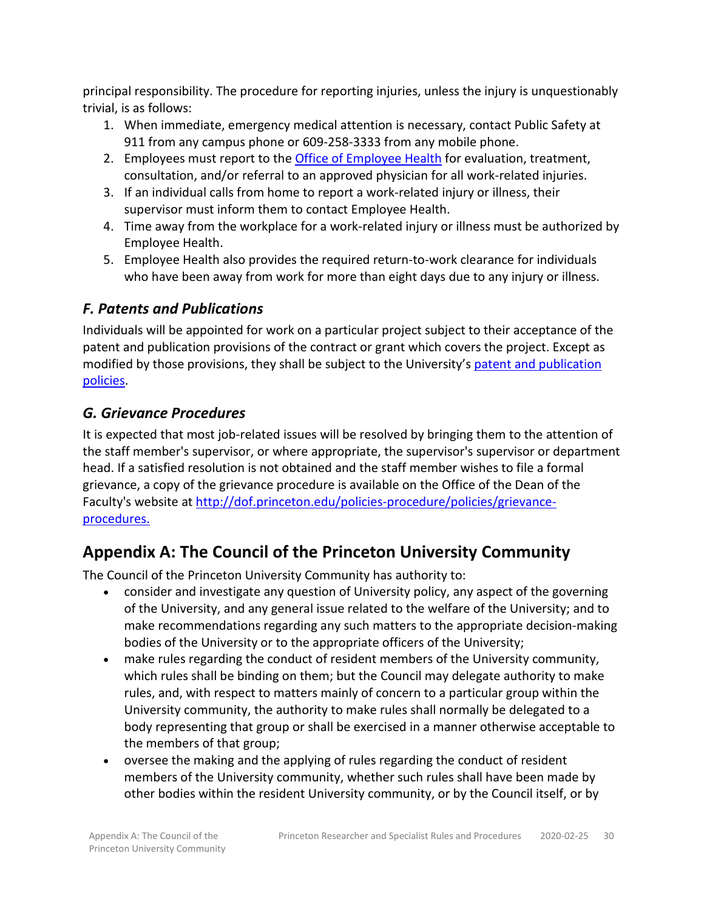principal responsibility. The procedure for reporting injuries, unless the injury is unquestionably trivial, is as follows:

- 1. When immediate, emergency medical attention is necessary, contact Public Safety at 911 from any campus phone or 609-258-3333 from any mobile phone.
- 2. Employees must report to th[e Office of Employee Health](https://uhs.princeton.edu/employee-health/work-related-injury-illness) for evaluation, treatment, consultation, and/or referral to an approved physician for all work-related injuries.
- 3. If an individual calls from home to report a work-related injury or illness, their supervisor must inform them to contact Employee Health.
- 4. Time away from the workplace for a work-related injury or illness must be authorized by Employee Health.
- 5. Employee Health also provides the required return-to-work clearance for individuals who have been away from work for more than eight days due to any injury or illness.

### <span id="page-29-0"></span>*F. Patents and Publications*

Individuals will be appointed for work on a particular project subject to their acceptance of the patent and publication provisions of the contract or grant which covers the project. Except as modified by those provisions, they shall be subject to the University's [patent and publication](https://dof.princeton.edu/node/3241)  [policies.](https://dof.princeton.edu/node/3241)

### <span id="page-29-1"></span>*G. Grievance Procedures*

It is expected that most job-related issues will be resolved by bringing them to the attention of the staff member's supervisor, or where appropriate, the supervisor's supervisor or department head. If a satisfied resolution is not obtained and the staff member wishes to file a formal grievance, a copy of the grievance procedure is available on the Office of the Dean of the Faculty's website at [http://dof.princeton.edu/policies-procedure/policies/grievance](http://dof.princeton.edu/policies-procedure/policies/grievance-procedures)[procedures.](http://dof.princeton.edu/policies-procedure/policies/grievance-procedures)

# <span id="page-29-2"></span>**Appendix A: The Council of the Princeton University Community**

The Council of the Princeton University Community has authority to:

- consider and investigate any question of University policy, any aspect of the governing of the University, and any general issue related to the welfare of the University; and to make recommendations regarding any such matters to the appropriate decision-making bodies of the University or to the appropriate officers of the University;
- make rules regarding the conduct of resident members of the University community, which rules shall be binding on them; but the Council may delegate authority to make rules, and, with respect to matters mainly of concern to a particular group within the University community, the authority to make rules shall normally be delegated to a body representing that group or shall be exercised in a manner otherwise acceptable to the members of that group;
- oversee the making and the applying of rules regarding the conduct of resident members of the University community, whether such rules shall have been made by other bodies within the resident University community, or by the Council itself, or by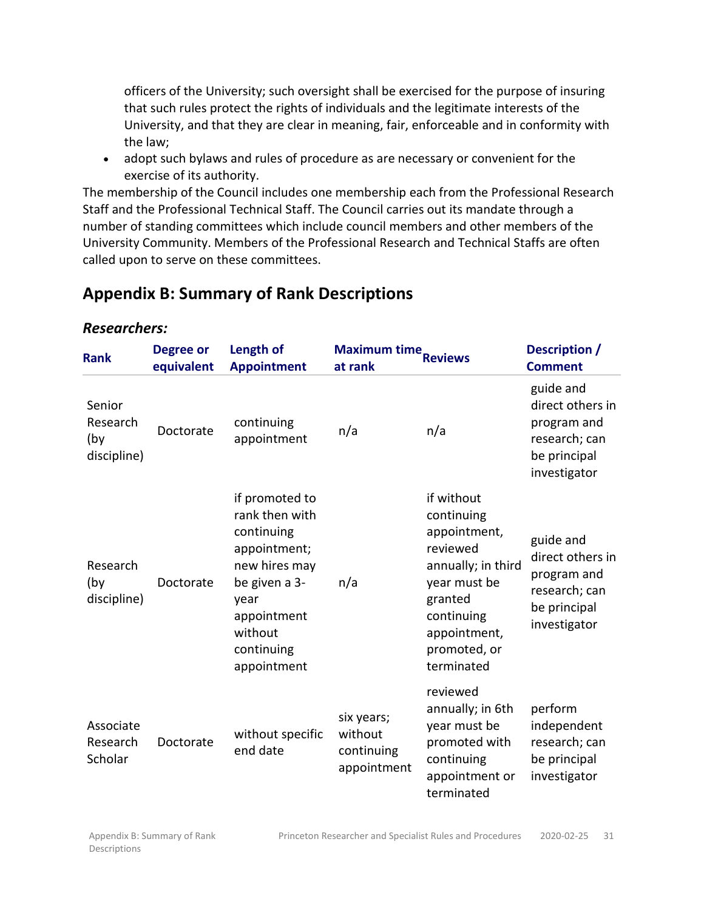officers of the University; such oversight shall be exercised for the purpose of insuring that such rules protect the rights of individuals and the legitimate interests of the University, and that they are clear in meaning, fair, enforceable and in conformity with the law;

• adopt such bylaws and rules of procedure as are necessary or convenient for the exercise of its authority.

The membership of the Council includes one membership each from the Professional Research Staff and the Professional Technical Staff. The Council carries out its mandate through a number of standing committees which include council members and other members of the University Community. Members of the Professional Research and Technical Staffs are often called upon to serve on these committees.

# <span id="page-30-0"></span>**Appendix B: Summary of Rank Descriptions**

#### **Rank Degree or equivalent Length of Appointment Maximum time**<br> **at rank Reviews Comment Comment** Senior Research (by discipline) Doctorate continuing appointment n/a n/a guide and direct others in program and research; can be principal investigator Research (by discipline) Doctorate if promoted to rank then with continuing appointment; new hires may be given a 3 year appointment without continuing appointment n/a if without continuing appointment, reviewed annually; in third year must be granted continuing appointment, promoted, or terminated guide and direct others in program and research; can be principal investigator Associate Research **Scholar** Doctorate without specific end date six years; without continuing appointment reviewed annually; in 6th year must be promoted with continuing appointment or terminated perform independent research; can be principal investigator

#### <span id="page-30-1"></span>*Researchers:*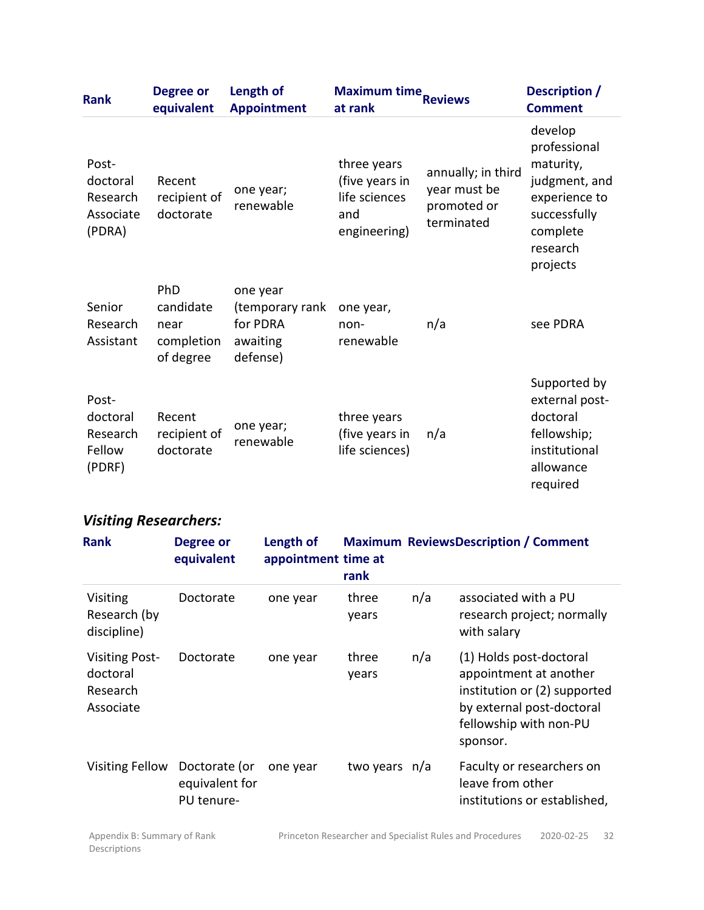| <b>Rank</b>                                          | <b>Degree or</b><br>equivalent                      | Length of<br><b>Appointment</b>                                 | Maximum time<br>at rank                                               | <b>Reviews</b>                                                  | Description /<br><b>Comment</b>                                                                                            |
|------------------------------------------------------|-----------------------------------------------------|-----------------------------------------------------------------|-----------------------------------------------------------------------|-----------------------------------------------------------------|----------------------------------------------------------------------------------------------------------------------------|
| Post-<br>doctoral<br>Research<br>Associate<br>(PDRA) | Recent<br>recipient of<br>doctorate                 | one year;<br>renewable                                          | three years<br>(five years in<br>life sciences<br>and<br>engineering) | annually; in third<br>year must be<br>promoted or<br>terminated | develop<br>professional<br>maturity,<br>judgment, and<br>experience to<br>successfully<br>complete<br>research<br>projects |
| Senior<br>Research<br>Assistant                      | PhD<br>candidate<br>near<br>completion<br>of degree | one year<br>(temporary rank<br>for PDRA<br>awaiting<br>defense) | one year,<br>non-<br>renewable                                        | n/a                                                             | see PDRA                                                                                                                   |
| Post-<br>doctoral<br>Research<br>Fellow<br>(PDRF)    | Recent<br>recipient of<br>doctorate                 | one year;<br>renewable                                          | three years<br>(five years in<br>life sciences)                       | n/a                                                             | Supported by<br>external post-<br>doctoral<br>fellowship;<br>institutional<br>allowance<br>required                        |

# <span id="page-31-0"></span>*Visiting Researchers:*

| <b>Rank</b>                                                | <b>Degree or</b><br>equivalent                | Length of<br>appointment time at | rank           |     | <b>Maximum ReviewsDescription / Comment</b>                                                                                                          |
|------------------------------------------------------------|-----------------------------------------------|----------------------------------|----------------|-----|------------------------------------------------------------------------------------------------------------------------------------------------------|
| Visiting<br>Research (by<br>discipline)                    | Doctorate                                     | one year                         | three<br>years | n/a | associated with a PU<br>research project; normally<br>with salary                                                                                    |
| <b>Visiting Post-</b><br>doctoral<br>Research<br>Associate | Doctorate                                     | one year                         | three<br>years | n/a | (1) Holds post-doctoral<br>appointment at another<br>institution or (2) supported<br>by external post-doctoral<br>fellowship with non-PU<br>sponsor. |
| Visiting Fellow                                            | Doctorate (or<br>equivalent for<br>PU tenure- | one year                         | two years n/a  |     | Faculty or researchers on<br>leave from other<br>institutions or established,                                                                        |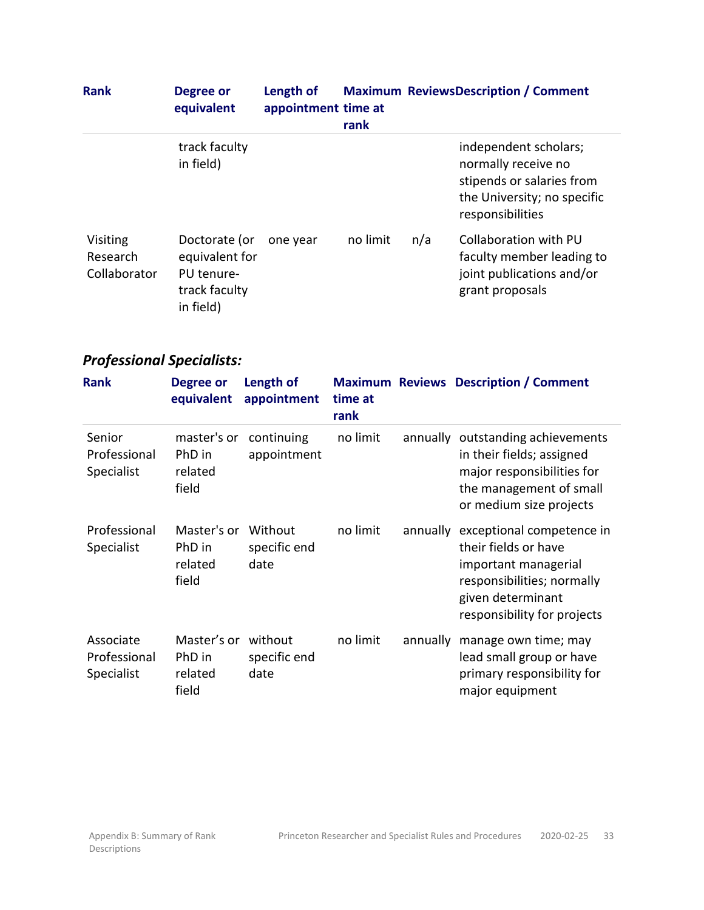| <b>Rank</b>                          | Degree or<br>equivalent                                                     | Length of<br>appointment time at | rank     |     | <b>Maximum ReviewsDescription / Comment</b>                                                                                  |
|--------------------------------------|-----------------------------------------------------------------------------|----------------------------------|----------|-----|------------------------------------------------------------------------------------------------------------------------------|
|                                      | track faculty<br>in field)                                                  |                                  |          |     | independent scholars;<br>normally receive no<br>stipends or salaries from<br>the University; no specific<br>responsibilities |
| Visiting<br>Research<br>Collaborator | Doctorate (or<br>equivalent for<br>PU tenure-<br>track faculty<br>in field) | one year                         | no limit | n/a | Collaboration with PU<br>faculty member leading to<br>joint publications and/or<br>grant proposals                           |

# <span id="page-32-0"></span>*Professional Specialists:*

| <b>Rank</b>                             | <b>Degree or</b><br>equivalent            | Length of<br>appointment        | time at<br>rank |          | <b>Maximum Reviews Description / Comment</b>                                                                                                                |
|-----------------------------------------|-------------------------------------------|---------------------------------|-----------------|----------|-------------------------------------------------------------------------------------------------------------------------------------------------------------|
| Senior<br>Professional<br>Specialist    | master's or<br>PhD in<br>related<br>field | continuing<br>appointment       | no limit        | annually | outstanding achievements<br>in their fields; assigned<br>major responsibilities for<br>the management of small<br>or medium size projects                   |
| Professional<br>Specialist              | Master's or<br>PhD in<br>related<br>field | Without<br>specific end<br>date | no limit        | annually | exceptional competence in<br>their fields or have<br>important managerial<br>responsibilities; normally<br>given determinant<br>responsibility for projects |
| Associate<br>Professional<br>Specialist | Master's or<br>PhD in<br>related<br>field | without<br>specific end<br>date | no limit        | annually | manage own time; may<br>lead small group or have<br>primary responsibility for<br>major equipment                                                           |